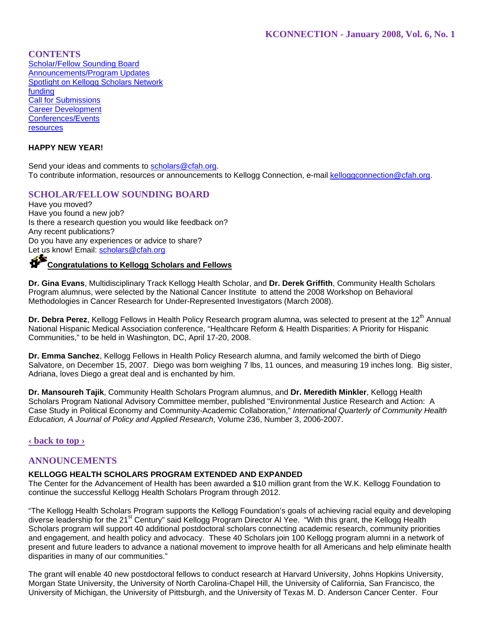**CONTENTS** Scholar/Fellow Sounding Board Announcements/Program Updates Spotlight on Kellogg Scholars Network funding Call for Submissions Career Development Conferences/Events resources

### **HAPPY NEW YEAR!**

Send your ideas and comments to scholars@cfah.org. To contribute information, resources or announcements to Kellogg Connection, e-mail kelloggconnection@cfah.org.

### **SCHOLAR/FELLOW SOUNDING BOARD**

Have you moved? Have you found a new job? Is there a research question you would like feedback on? Any recent publications? Do you have any experiences or advice to share? Let us know! Email: scholars@cfah.org

## **Congratulations to Kellogg Scholars and Fellows**

**Dr. Gina Evans**, Multidisciplinary Track Kellogg Health Scholar, and **Dr. Derek Griffith**, Community Health Scholars Program alumnus, were selected by the National Cancer Institute to attend the 2008 Workshop on Behavioral Methodologies in Cancer Research for Under-Represented Investigators (March 2008).

**Dr. Debra Perez**, Kellogg Fellows in Health Policy Research program alumna, was selected to present at the 12<sup>th</sup> Annual National Hispanic Medical Association conference, "Healthcare Reform & Health Disparities: A Priority for Hispanic Communities," to be held in Washington, DC, April 17-20, 2008.

**Dr. Emma Sanchez**, Kellogg Fellows in Health Policy Research alumna, and family welcomed the birth of Diego Salvatore, on December 15, 2007. Diego was born weighing 7 lbs, 11 ounces, and measuring 19 inches long. Big sister, Adriana, loves Diego a great deal and is enchanted by him.

**Dr. Mansoureh Tajik**, Community Health Scholars Program alumnus, and **Dr. Meredith Minkler**, Kellogg Health Scholars Program National Advisory Committee member, published "Environmental Justice Research and Action: A Case Study in Political Economy and Community-Academic Collaboration," *International Quarterly of Community Health Education, A Journal of Policy and Applied Research*, Volume 236, Number 3, 2006-2007.

### **‹ back to top ›**

### **ANNOUNCEMENTS**

#### **KELLOGG HEALTH SCHOLARS PROGRAM EXTENDED AND EXPANDED**

The Center for the Advancement of Health has been awarded a \$10 million grant from the W.K. Kellogg Foundation to continue the successful Kellogg Health Scholars Program through 2012.

"The Kellogg Health Scholars Program supports the Kellogg Foundation's goals of achieving racial equity and developing diverse leadership for the 21<sup>st</sup> Century" said Kellogg Program Director Al Yee. "With this grant, the Kellogg Health Scholars program will support 40 additional postdoctoral scholars connecting academic research, community priorities and engagement, and health policy and advocacy. These 40 Scholars join 100 Kellogg program alumni in a network of present and future leaders to advance a national movement to improve health for all Americans and help eliminate health disparities in many of our communities."

The grant will enable 40 new postdoctoral fellows to conduct research at Harvard University, Johns Hopkins University, Morgan State University, the University of North Carolina-Chapel Hill, the University of California, San Francisco, the University of Michigan, the University of Pittsburgh, and the University of Texas M. D. Anderson Cancer Center. Four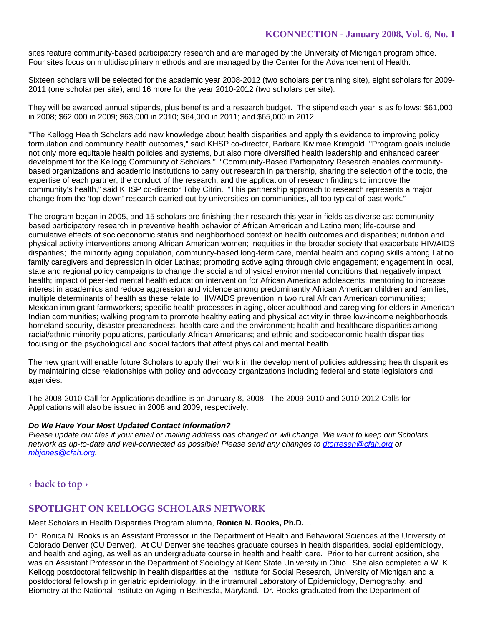sites feature community-based participatory research and are managed by the University of Michigan program office. Four sites focus on multidisciplinary methods and are managed by the Center for the Advancement of Health.

Sixteen scholars will be selected for the academic year 2008-2012 (two scholars per training site), eight scholars for 2009- 2011 (one scholar per site), and 16 more for the year 2010-2012 (two scholars per site).

They will be awarded annual stipends, plus benefits and a research budget. The stipend each year is as follows: \$61,000 in 2008; \$62,000 in 2009; \$63,000 in 2010; \$64,000 in 2011; and \$65,000 in 2012.

"The Kellogg Health Scholars add new knowledge about health disparities and apply this evidence to improving policy formulation and community health outcomes," said KHSP co-director, Barbara Kivimae Krimgold. "Program goals include not only more equitable health policies and systems, but also more diversified health leadership and enhanced career development for the Kellogg Community of Scholars." "Community-Based Participatory Research enables communitybased organizations and academic institutions to carry out research in partnership, sharing the selection of the topic, the expertise of each partner, the conduct of the research, and the application of research findings to improve the community's health," said KHSP co-director Toby Citrin. "This partnership approach to research represents a major change from the 'top-down' research carried out by universities on communities, all too typical of past work."

The program began in 2005, and 15 scholars are finishing their research this year in fields as diverse as: communitybased participatory research in preventive health behavior of African American and Latino men; life-course and cumulative effects of socioeconomic status and neighborhood context on health outcomes and disparities; nutrition and physical activity interventions among African American women; inequities in the broader society that exacerbate HIV/AIDS disparities; the minority aging population, community-based long-term care, mental health and coping skills among Latino family caregivers and depression in older Latinas; promoting active aging through civic engagement; engagement in local, state and regional policy campaigns to change the social and physical environmental conditions that negatively impact health; impact of peer-led mental health education intervention for African American adolescents; mentoring to increase interest in academics and reduce aggression and violence among predominantly African American children and families; multiple determinants of health as these relate to HIV/AIDS prevention in two rural African American communities; Mexican immigrant farmworkers; specific health processes in aging, older adulthood and caregiving for elders in American Indian communities; walking program to promote healthy eating and physical activity in three low-income neighborhoods; homeland security, disaster preparedness, health care and the environment; health and healthcare disparities among racial/ethnic minority populations, particularly African Americans; and ethnic and socioeconomic health disparities focusing on the psychological and social factors that affect physical and mental health.

The new grant will enable future Scholars to apply their work in the development of policies addressing health disparities by maintaining close relationships with policy and advocacy organizations including federal and state legislators and agencies.

The 2008-2010 Call for Applications deadline is on January 8, 2008. The 2009-2010 and 2010-2012 Calls for Applications will also be issued in 2008 and 2009, respectively.

#### *Do We Have Your Most Updated Contact Information?*

*Please update our files if your email or mailing address has changed or will change. We want to keep our Scholars network as up-to-date and well-connected as possible! Please send any changes to dtorresen@cfah.org or mbjones@cfah.org.* 

### **‹ back to top ›**

## **SPOTLIGHT ON KELLOGG SCHOLARS NETWORK**

Meet Scholars in Health Disparities Program alumna, **Ronica N. Rooks, Ph.D.**…

Dr. Ronica N. Rooks is an Assistant Professor in the Department of Health and Behavioral Sciences at the University of Colorado Denver (CU Denver). At CU Denver she teaches graduate courses in health disparities, social epidemiology, and health and aging, as well as an undergraduate course in health and health care. Prior to her current position, she was an Assistant Professor in the Department of Sociology at Kent State University in Ohio. She also completed a W. K. Kellogg postdoctoral fellowship in health disparities at the Institute for Social Research, University of Michigan and a postdoctoral fellowship in geriatric epidemiology, in the intramural Laboratory of Epidemiology, Demography, and Biometry at the National Institute on Aging in Bethesda, Maryland. Dr. Rooks graduated from the Department of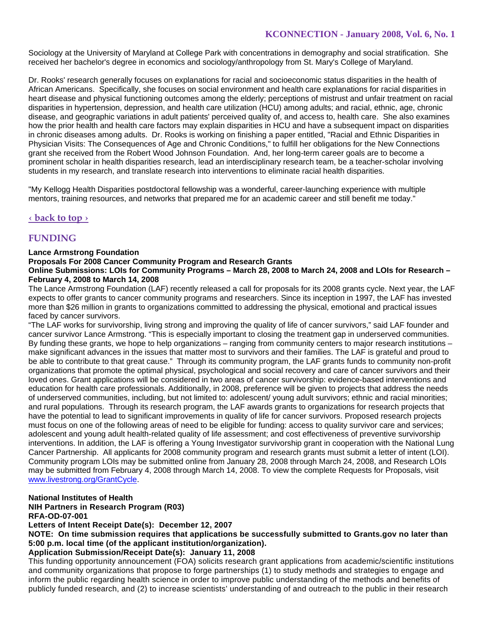Sociology at the University of Maryland at College Park with concentrations in demography and social stratification. She received her bachelor's degree in economics and sociology/anthropology from St. Mary's College of Maryland.

Dr. Rooks' research generally focuses on explanations for racial and socioeconomic status disparities in the health of African Americans. Specifically, she focuses on social environment and health care explanations for racial disparities in heart disease and physical functioning outcomes among the elderly; perceptions of mistrust and unfair treatment on racial disparities in hypertension, depression, and health care utilization (HCU) among adults; and racial, ethnic, age, chronic disease, and geographic variations in adult patients' perceived quality of, and access to, health care. She also examines how the prior health and health care factors may explain disparities in HCU and have a subsequent impact on disparities in chronic diseases among adults. Dr. Rooks is working on finishing a paper entitled, "Racial and Ethnic Disparities in Physician Visits: The Consequences of Age and Chronic Conditions," to fulfill her obligations for the New Connections grant she received from the Robert Wood Johnson Foundation. And, her long-term career goals are to become a prominent scholar in health disparities research, lead an interdisciplinary research team, be a teacher-scholar involving students in my research, and translate research into interventions to eliminate racial health disparities.

"My Kellogg Health Disparities postdoctoral fellowship was a wonderful, career-launching experience with multiple mentors, training resources, and networks that prepared me for an academic career and still benefit me today."

### **‹ back to top ›**

### **FUNDING**

#### **Lance Armstrong Foundation**

#### **Proposals For 2008 Cancer Community Program and Research Grants**

#### **Online Submissions: LOIs for Community Programs – March 28, 2008 to March 24, 2008 and LOIs for Research – February 4, 2008 to March 14, 2008**

The Lance Armstrong Foundation (LAF) recently released a call for proposals for its 2008 grants cycle. Next year, the LAF expects to offer grants to cancer community programs and researchers. Since its inception in 1997, the LAF has invested more than \$26 million in grants to organizations committed to addressing the physical, emotional and practical issues faced by cancer survivors.

"The LAF works for survivorship, living strong and improving the quality of life of cancer survivors," said LAF founder and cancer survivor Lance Armstrong. "This is especially important to closing the treatment gap in underserved communities. By funding these grants, we hope to help organizations – ranging from community centers to major research institutions – make significant advances in the issues that matter most to survivors and their families. The LAF is grateful and proud to be able to contribute to that great cause." Through its community program, the LAF grants funds to community non-profit organizations that promote the optimal physical, psychological and social recovery and care of cancer survivors and their loved ones. Grant applications will be considered in two areas of cancer survivorship: evidence-based interventions and education for health care professionals. Additionally, in 2008, preference will be given to projects that address the needs of underserved communities, including, but not limited to: adolescent/ young adult survivors; ethnic and racial minorities; and rural populations. Through its research program, the LAF awards grants to organizations for research projects that have the potential to lead to significant improvements in quality of life for cancer survivors. Proposed research projects must focus on one of the following areas of need to be eligible for funding: access to quality survivor care and services; adolescent and young adult health-related quality of life assessment; and cost effectiveness of preventive survivorship interventions. In addition, the LAF is offering a Young Investigator survivorship grant in cooperation with the National Lung Cancer Partnership. All applicants for 2008 community program and research grants must submit a letter of intent (LOI). Community program LOIs may be submitted online from January 28, 2008 through March 24, 2008, and Research LOIs may be submitted from February 4, 2008 through March 14, 2008. To view the complete Requests for Proposals, visit www.livestrong.org/GrantCycle.

## **National Institutes of Health**

**NIH Partners in Research Program (R03) RFA-OD-07-001**

**Letters of Intent Receipt Date(s): December 12, 2007** 

**NOTE: On time submission requires that applications be successfully submitted to Grants.gov no later than 5:00 p.m. local time (of the applicant institution/organization).** 

#### **Application Submission/Receipt Date(s): January 11, 2008**

This funding opportunity announcement (FOA) solicits research grant applications from academic/scientific institutions and community organizations that propose to forge partnerships (1) to study methods and strategies to engage and inform the public regarding health science in order to improve public understanding of the methods and benefits of publicly funded research, and (2) to increase scientists' understanding of and outreach to the public in their research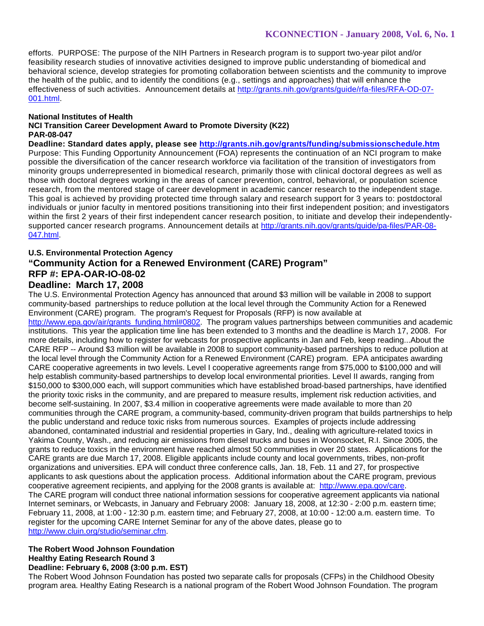efforts. PURPOSE: The purpose of the NIH Partners in Research program is to support two-year pilot and/or feasibility research studies of innovative activities designed to improve public understanding of biomedical and behavioral science, develop strategies for promoting collaboration between scientists and the community to improve the health of the public, and to identify the conditions (e.g., settings and approaches) that will enhance the effectiveness of such activities. Announcement details at http://grants.nih.gov/grants/guide/rfa-files/RFA-OD-07- 001.html.

#### **National Institutes of Health**

#### **NCI Transition Career Development Award to Promote Diversity (K22) PAR-08-047**

**Deadline: Standard dates apply, please see http://grants.nih.gov/grants/funding/submissionschedule.htm** Purpose: This Funding Opportunity Announcement (FOA) represents the continuation of an NCI program to make possible the diversification of the cancer research workforce via facilitation of the transition of investigators from minority groups underrepresented in biomedical research, primarily those with clinical doctoral degrees as well as those with doctoral degrees working in the areas of cancer prevention, control, behavioral, or population science research, from the mentored stage of career development in academic cancer research to the independent stage. This goal is achieved by providing protected time through salary and research support for 3 years to: postdoctoral individuals or junior faculty in mentored positions transitioning into their first independent position; and investigators within the first 2 years of their first independent cancer research position, to initiate and develop their independentlysupported cancer research programs. Announcement details at http://grants.nih.gov/grants/guide/pa-files/PAR-08- 047.html.

# **U.S. Environmental Protection Agency "Community Action for a Renewed Environment (CARE) Program" RFP #: EPA-OAR-IO-08-02**

## **Deadline: March 17, 2008**

The U.S. Environmental Protection Agency has announced that around \$3 million will be vailable in 2008 to support community-based partnerships to reduce pollution at the local level through the Community Action for a Renewed Environment (CARE) program. The program's Request for Proposals (RFP) is now available at http://www.epa.gov/air/grants\_funding.html#0802. The program values partnerships between communities and academic institutions. This year the application time line has been extended to 3 months and the deadline is March 17, 2008. For more details, including how to register for webcasts for prospective applicants in Jan and Feb, keep reading...About the CARE RFP -- Around \$3 million will be available in 2008 to support community-based partnerships to reduce pollution at the local level through the Community Action for a Renewed Environment (CARE) program. EPA anticipates awarding CARE cooperative agreements in two levels. Level I cooperative agreements range from \$75,000 to \$100,000 and will help establish community-based partnerships to develop local environmental priorities. Level II awards, ranging from \$150,000 to \$300,000 each, will support communities which have established broad-based partnerships, have identified the priority toxic risks in the community, and are prepared to measure results, implement risk reduction activities, and become self-sustaining. In 2007, \$3.4 million in cooperative agreements were made available to more than 20 communities through the CARE program, a community-based, community-driven program that builds partnerships to help the public understand and reduce toxic risks from numerous sources. Examples of projects include addressing abandoned, contaminated industrial and residential properties in Gary, Ind., dealing with agriculture-related toxics in Yakima County, Wash., and reducing air emissions from diesel trucks and buses in Woonsocket, R.I. Since 2005, the grants to reduce toxics in the environment have reached almost 50 communities in over 20 states. Applications for the CARE grants are due March 17, 2008. Eligible applicants include county and local governments, tribes, non-profit organizations and universities. EPA will conduct three conference calls, Jan. 18, Feb. 11 and 27, for prospective applicants to ask questions about the application process. Additional information about the CARE program, previous cooperative agreement recipients, and applying for the 2008 grants is available at: http://www.epa.gov/care. The CARE program will conduct three national information sessions for cooperative agreement applicants via national Internet seminars, or Webcasts, in January and February 2008: January 18, 2008, at 12:30 - 2:00 p.m. eastern time; February 11, 2008, at 1:00 - 12:30 p.m. eastern time; and February 27, 2008, at 10:00 - 12:00 a.m. eastern time. To register for the upcoming CARE Internet Seminar for any of the above dates, please go to http://www.cluin.org/studio/seminar.cfm.

#### **The Robert Wood Johnson Foundation Healthy Eating Research Round 3**

### **Deadline: February 6, 2008 (3:00 p.m. EST)**

The Robert Wood Johnson Foundation has posted two separate calls for proposals (CFPs) in the Childhood Obesity program area. Healthy Eating Research is a national program of the Robert Wood Johnson Foundation. The program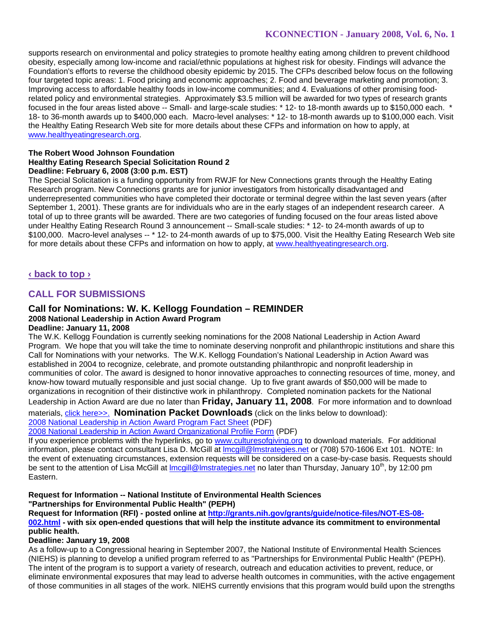supports research on environmental and policy strategies to promote healthy eating among children to prevent childhood obesity, especially among low-income and racial/ethnic populations at highest risk for obesity. Findings will advance the Foundation's efforts to reverse the childhood obesity epidemic by 2015. The CFPs described below focus on the following four targeted topic areas: 1. Food pricing and economic approaches; 2. Food and beverage marketing and promotion; 3. Improving access to affordable healthy foods in low-income communities; and 4. Evaluations of other promising foodrelated policy and environmental strategies. Approximately \$3.5 million will be awarded for two types of research grants focused in the four areas listed above -- Small- and large-scale studies: \* 12- to 18-month awards up to \$150,000 each. \* 18- to 36-month awards up to \$400,000 each. Macro-level analyses: \* 12- to 18-month awards up to \$100,000 each. Visit the Healthy Eating Research Web site for more details about these CFPs and information on how to apply, at www.healthyeatingresearch.org.

#### **The Robert Wood Johnson Foundation Healthy Eating Research Special Solicitation Round 2 Deadline: February 6, 2008 (3:00 p.m. EST)**

The Special Solicitation is a funding opportunity from RWJF for New Connections grants through the Healthy Eating Research program. New Connections grants are for junior investigators from historically disadvantaged and underrepresented communities who have completed their doctorate or terminal degree within the last seven years (after September 1, 2001). These grants are for individuals who are in the early stages of an independent research career. A total of up to three grants will be awarded. There are two categories of funding focused on the four areas listed above under Healthy Eating Research Round 3 announcement -- Small-scale studies: \* 12- to 24-month awards of up to \$100,000. Macro-level analyses -- \* 12- to 24-month awards of up to \$75,000. Visit the Healthy Eating Research Web site for more details about these CFPs and information on how to apply, at www.healthyeatingresearch.org.

## **‹ back to top ›**

## **CALL FOR SUBMISSIONS**

#### **Call for Nominations: W. K. Kellogg Foundation – REMINDER 2008 National Leadership in Action Award Program**

**Deadline: January 11, 2008** 

The W.K. Kellogg Foundation is currently seeking nominations for the 2008 National Leadership in Action Award Program. We hope that you will take the time to nominate deserving nonprofit and philanthropic institutions and share this Call for Nominations with your networks. The W.K. Kellogg Foundation's National Leadership in Action Award was established in 2004 to recognize, celebrate, and promote outstanding philanthropic and nonprofit leadership in communities of color. The award is designed to honor innovative approaches to connecting resources of time, money, and know-how toward mutually responsible and just social change. Up to five grant awards of \$50,000 will be made to organizations in recognition of their distinctive work in philanthropy. Completed nomination packets for the National Leadership in Action Award are due no later than **Friday, January 11, 2008**. For more information and to download materials, click here>>. **Nomination Packet Downloads** (click on the links below to download): 2008 National Leadership in Action Award Program Fact Sheet (PDF)

2008 National Leadership in Action Award Organizational Profile Form (PDF)

If you experience problems with the hyperlinks, go to www.culturesofgiving.org to download materials. For additional information, please contact consultant Lisa D. McGill at lmcgill@lmstrategies.net or (708) 570-1606 Ext 101. NOTE: In the event of extenuating circumstances, extension requests will be considered on a case-by-case basis. Requests should be sent to the attention of Lisa McGill at *Imcgill@Imstrategies.net* no later than Thursday, January 10<sup>th</sup>, by 12:00 pm Eastern.

#### **Request for Information -- National Institute of Environmental Health Sciences "Partnerships for Environmental Public Health" (PEPH)**

**Request for Information (RFI) - posted online at http://grants.nih.gov/grants/guide/notice-files/NOT-ES-08- 002.html - with six open-ended questions that will help the institute advance its commitment to environmental public health.**

#### **Deadline: January 19, 2008**

As a follow-up to a Congressional hearing in September 2007, the National Institute of Environmental Health Sciences (NIEHS) is planning to develop a unified program referred to as "Partnerships for Environmental Public Health" (PEPH). The intent of the program is to support a variety of research, outreach and education activities to prevent, reduce, or eliminate environmental exposures that may lead to adverse health outcomes in communities, with the active engagement of those communities in all stages of the work. NIEHS currently envisions that this program would build upon the strengths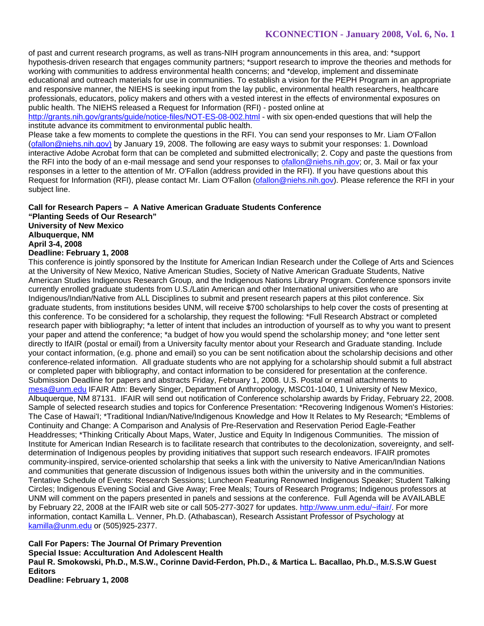of past and current research programs, as well as trans-NIH program announcements in this area, and: \*support hypothesis-driven research that engages community partners; \*support research to improve the theories and methods for working with communities to address environmental health concerns; and \*develop, implement and disseminate educational and outreach materials for use in communities. To establish a vision for the PEPH Program in an appropriate and responsive manner, the NIEHS is seeking input from the lay public, environmental health researchers, healthcare professionals, educators, policy makers and others with a vested interest in the effects of environmental exposures on public health. The NIEHS released a Request for Information (RFI) - posted online at

http://grants.nih.gov/grants/guide/notice-files/NOT-ES-08-002.html - with six open-ended questions that will help the institute advance its commitment to environmental public health.

Please take a few moments to complete the questions in the RFI. You can send your responses to Mr. Liam O'Fallon (ofallon@niehs.nih.gov) by January 19, 2008. The following are easy ways to submit your responses: 1. Download interactive Adobe Acrobat form that can be completed and submitted electronically; 2. Copy and paste the questions from the RFI into the body of an e-mail message and send your responses to ofallon@niehs.nih.gov; or, 3. Mail or fax your responses in a letter to the attention of Mr. O'Fallon (address provided in the RFI). If you have questions about this Request for Information (RFI), please contact Mr. Liam O'Fallon (ofallon@niehs.nih.gov). Please reference the RFI in your subject line.

#### **Call for Research Papers – A Native American Graduate Students Conference**

**"Planting Seeds of Our Research" University of New Mexico Albuquerque, NM April 3-4, 2008 Deadline: February 1, 2008**

This conference is jointly sponsored by the Institute for American Indian Research under the College of Arts and Sciences at the University of New Mexico, Native American Studies, Society of Native American Graduate Students, Native American Studies Indigenous Research Group, and the Indigenous Nations Library Program. Conference sponsors invite currently enrolled graduate students from U.S./Latin American and other International universities who are Indigenous/Indian/Native from ALL Disciplines to submit and present research papers at this pilot conference. Six graduate students, from institutions besides UNM, will receive \$700 scholarships to help cover the costs of presenting at this conference. To be considered for a scholarship, they request the following: \*Full Research Abstract or completed research paper with bibliography; \*a letter of intent that includes an introduction of yourself as to why you want to present your paper and attend the conference; \*a budget of how you would spend the scholarship money; and \*one letter sent directly to IfAIR (postal or email) from a University faculty mentor about your Research and Graduate standing. Include your contact information, (e.g. phone and email) so you can be sent notification about the scholarship decisions and other conference-related information. All graduate students who are not applying for a scholarship should submit a full abstract or completed paper with bibliography, and contact information to be considered for presentation at the conference. Submission Deadline for papers and abstracts Friday, February 1, 2008. U.S. Postal or email attachments to mesa@unm.edu IFAIR Attn: Beverly Singer, Department of Anthropology, MSC01-1040, 1 University of New Mexico, Albuquerque, NM 87131. IFAIR will send out notification of Conference scholarship awards by Friday, February 22, 2008. Sample of selected research studies and topics for Conference Presentation: \*Recovering Indigenous Women's Histories: The Case of Hawai'I; \*Traditional Indian/Native/Indigenous Knowledge and How It Relates to My Research; \*Emblems of Continuity and Change: A Comparison and Analysis of Pre-Reservation and Reservation Period Eagle-Feather Headdresses; \*Thinking Critically About Maps, Water, Justice and Equity In Indigenous Communities. The mission of Institute for American Indian Research is to facilitate research that contributes to the decolonization, sovereignty, and selfdetermination of Indigenous peoples by providing initiatives that support such research endeavors. IFAIR promotes community-inspired, service-oriented scholarship that seeks a link with the university to Native American/Indian Nations and communities that generate discussion of Indigenous issues both within the university and in the communities. Tentative Schedule of Events: Research Sessions; Luncheon Featuring Renowned Indigenous Speaker; Student Talking Circles; Indigenous Evening Social and Give Away; Free Meals; Tours of Research Programs; Indigenous professors at UNM will comment on the papers presented in panels and sessions at the conference. Full Agenda will be AVAILABLE by February 22, 2008 at the IFAIR web site or call 505-277-3027 for updates. http://www.unm.edu/~ifair/. For more information, contact Kamilla L. Venner, Ph.D. (Athabascan), Research Assistant Professor of Psychology at kamilla@unm.edu or (505)925-2377.

**Call For Papers: The Journal Of Primary Prevention Special Issue: Acculturation And Adolescent Health Paul R. Smokowski, Ph.D., M.S.W., Corinne David-Ferdon, Ph.D., & Martica L. Bacallao, Ph.D., M.S.S.W Guest Editors Deadline: February 1, 2008**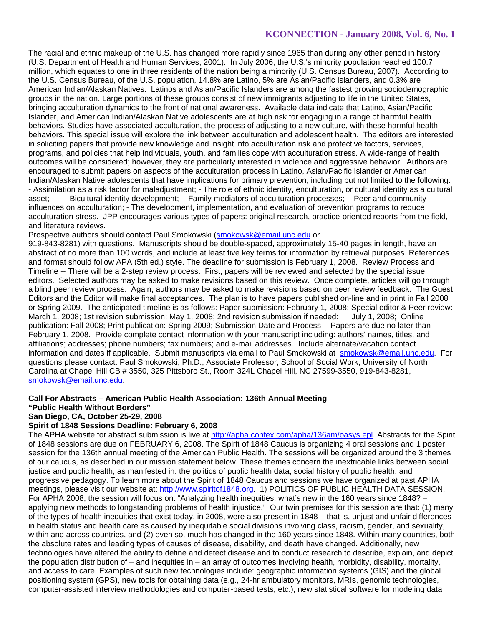The racial and ethnic makeup of the U.S. has changed more rapidly since 1965 than during any other period in history (U.S. Department of Health and Human Services, 2001). In July 2006, the U.S.'s minority population reached 100.7 million, which equates to one in three residents of the nation being a minority (U.S. Census Bureau, 2007). According to the U.S. Census Bureau, of the U.S. population, 14.8% are Latino, 5% are Asian/Pacific Islanders, and 0.3% are American Indian/Alaskan Natives. Latinos and Asian/Pacific Islanders are among the fastest growing sociodemographic groups in the nation. Large portions of these groups consist of new immigrants adjusting to life in the United States, bringing acculturation dynamics to the front of national awareness. Available data indicate that Latino, Asian/Pacific Islander, and American Indian/Alaskan Native adolescents are at high risk for engaging in a range of harmful health behaviors. Studies have associated acculturation, the process of adjusting to a new culture, with these harmful health behaviors. This special issue will explore the link between acculturation and adolescent health. The editors are interested in soliciting papers that provide new knowledge and insight into acculturation risk and protective factors, services, programs, and policies that help individuals, youth, and families cope with acculturation stress. A wide-range of health outcomes will be considered; however, they are particularly interested in violence and aggressive behavior. Authors are encouraged to submit papers on aspects of the acculturation process in Latino, Asian/Pacific Islander or American Indian/Alaskan Native adolescents that have implications for primary prevention, including but not limited to the following: - Assimilation as a risk factor for maladjustment; - The role of ethnic identity, enculturation, or cultural identity as a cultural asset; - Bicultural identity development; - Family mediators of acculturation processes; - Peer and community influences on acculturation; - The development, implementation, and evaluation of prevention programs to reduce acculturation stress. JPP encourages various types of papers: original research, practice-oriented reports from the field, and literature reviews.

Prospective authors should contact Paul Smokowski (smokowsk@email.unc.edu or

919-843-8281) with questions. Manuscripts should be double-spaced, approximately 15-40 pages in length, have an abstract of no more than 100 words, and include at least five key terms for information by retrieval purposes. References and format should follow APA (5th ed.) style. The deadline for submission is February 1, 2008. Review Process and Timeline -- There will be a 2-step review process. First, papers will be reviewed and selected by the special issue editors. Selected authors may be asked to make revisions based on this review. Once complete, articles will go through a blind peer review process. Again, authors may be asked to make revisions based on peer review feedback. The Guest Editors and the Editor will make final acceptances. The plan is to have papers published on-line and in print in Fall 2008 or Spring 2009. The anticipated timeline is as follows: Paper submission: February 1, 2008; Special editor & Peer review: March 1, 2008; 1st revision submission: May 1, 2008; 2nd revision submission if needed: July 1, 2008; Online publication: Fall 2008; Print publication: Spring 2009; Submission Date and Process -- Papers are due no later than February 1, 2008. Provide complete contact information with your manuscript including: authors' names, titles, and affiliations; addresses; phone numbers; fax numbers; and e-mail addresses. Include alternate/vacation contact information and dates if applicable. Submit manuscripts via email to Paul Smokowski at smokowsk@email.unc.edu. For questions please contact: Paul Smokowski, Ph.D., Associate Professor, School of Social Work, University of North Carolina at Chapel Hill CB # 3550, 325 Pittsboro St., Room 324L Chapel Hill, NC 27599-3550, 919-843-8281, smokowsk@email.unc.edu.

## **Call For Abstracts – American Public Health Association: 136th Annual Meeting "Public Health Without Borders"**

## **San Diego, CA, October 25-29, 2008**

#### **Spirit of 1848 Sessions Deadline: February 6, 2008**

The APHA website for abstract submission is live at http://apha.confex.com/apha/136am/oasys.epl. Abstracts for the Spirit of 1848 sessions are due on FEBRUARY 6, 2008. The Spirit of 1848 Caucus is organizing 4 oral sessions and 1 poster session for the 136th annual meeting of the American Public Health. The sessions will be organized around the 3 themes of our caucus, as described in our mission statement below. These themes concern the inextricable links between social justice and public health, as manifested in: the politics of public health data, social history of public health, and progressive pedagogy. To learn more about the Spirit of 1848 Caucus and sessions we have organized at past APHA meetings, please visit our website at: http://www.spiritof1848.org. 1) POLITICS OF PUBLIC HEALTH DATA SESSION, For APHA 2008, the session will focus on: "Analyzing health inequities: what's new in the 160 years since 1848? – applying new methods to longstanding problems of health injustice." Our twin premises for this session are that: (1) many of the types of health inequities that exist today, in 2008, were also present in 1848 – that is, unjust and unfair differences in health status and health care as caused by inequitable social divisions involving class, racism, gender, and sexuality, within and across countries, and (2) even so, much has changed in the 160 years since 1848. Within many countries, both the absolute rates and leading types of causes of disease, disability, and death have changed. Additionally, new technologies have altered the ability to define and detect disease and to conduct research to describe, explain, and depict the population distribution of – and inequities in – an array of outcomes involving health, morbidity, disability, mortality, and access to care. Examples of such new technologies include: geographic information systems (GIS) and the global positioning system (GPS), new tools for obtaining data (e.g., 24-hr ambulatory monitors, MRIs, genomic technologies, computer-assisted interview methodologies and computer-based tests, etc.), new statistical software for modeling data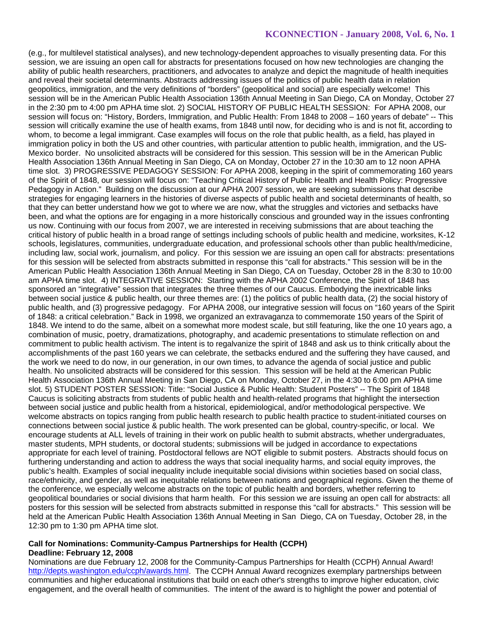(e.g., for multilevel statistical analyses), and new technology-dependent approaches to visually presenting data. For this session, we are issuing an open call for abstracts for presentations focused on how new technologies are changing the ability of public health researchers, practitioners, and advocates to analyze and depict the magnitude of health inequities and reveal their societal determinants. Abstracts addressing issues of the politics of public health data in relation geopolitics, immigration, and the very definitions of "borders" (geopolitical and social) are especially welcome! This session will be in the American Public Health Association 136th Annual Meeting in San Diego, CA on Monday, October 27 in the 2:30 pm to 4:00 pm APHA time slot. 2) SOCIAL HISTORY OF PUBLIC HEALTH SESSION: For APHA 2008, our session will focus on: "History, Borders, Immigration, and Public Health: From 1848 to 2008 – 160 years of debate" -- This session will critically examine the use of health exams, from 1848 until now, for deciding who is and is not fit, according to whom, to become a legal immigrant. Case examples will focus on the role that public health, as a field, has played in immigration policy in both the US and other countries, with particular attention to public health, immigration, and the US-Mexico border. No unsolicited abstracts will be considered for this session. This session will be in the American Public Health Association 136th Annual Meeting in San Diego, CA on Monday, October 27 in the 10:30 am to 12 noon APHA time slot. 3) PROGRESSIVE PEDAGOGY SESSION: For APHA 2008, keeping in the spirit of commemorating 160 years of the Spirit of 1848, our session will focus on: "Teaching Critical History of Public Health and Health Policy: Progressive Pedagogy in Action." Building on the discussion at our APHA 2007 session, we are seeking submissions that describe strategies for engaging learners in the histories of diverse aspects of public health and societal determinants of health, so that they can better understand how we got to where we are now, what the struggles and victories and setbacks have been, and what the options are for engaging in a more historically conscious and grounded way in the issues confronting us now. Continuing with our focus from 2007, we are interested in receiving submissions that are about teaching the critical history of public health in a broad range of settings including schools of public health and medicine, worksites, K-12 schools, legislatures, communities, undergraduate education, and professional schools other than public health/medicine, including law, social work, journalism, and policy. For this session we are issuing an open call for abstracts: presentations for this session will be selected from abstracts submitted in response this "call for abstracts." This session will be in the American Public Health Association 136th Annual Meeting in San Diego, CA on Tuesday, October 28 in the 8:30 to 10:00 am APHA time slot. 4) INTEGRATIVE SESSION: Starting with the APHA 2002 Conference, the Spirit of 1848 has sponsored an "integrative" session that integrates the three themes of our Caucus. Embodying the inextricable links between social justice & public health, our three themes are: (1) the politics of public health data, (2) the social history of public health, and (3) progressive pedagogy. For APHA 2008, our integrative session will focus on "160 years of the Spirit of 1848: a critical celebration." Back in 1998, we organized an extravaganza to commemorate 150 years of the Spirit of 1848. We intend to do the same, albeit on a somewhat more modest scale, but still featuring, like the one 10 years ago, a combination of music, poetry, dramatizations, photography, and academic presentations to stimulate reflection on and commitment to public health activism. The intent is to regalvanize the spirit of 1848 and ask us to think critically about the accomplishments of the past 160 years we can celebrate, the setbacks endured and the suffering they have caused, and the work we need to do now, in our generation, in our own times, to advance the agenda of social justice and public health. No unsolicited abstracts will be considered for this session. This session will be held at the American Public Health Association 136th Annual Meeting in San Diego, CA on Monday, October 27, in the 4:30 to 6:00 pm APHA time slot. 5) STUDENT POSTER SESSION: Title: "Social Justice & Public Health: Student Posters" -- The Spirit of 1848 Caucus is soliciting abstracts from students of public health and health-related programs that highlight the intersection between social justice and public health from a historical, epidemiological, and/or methodological perspective. We welcome abstracts on topics ranging from public health research to public health practice to student-initiated courses on connections between social justice & public health. The work presented can be global, country-specific, or local. We encourage students at ALL levels of training in their work on public health to submit abstracts, whether undergraduates, master students, MPH students, or doctoral students; submissions will be judged in accordance to expectations appropriate for each level of training. Postdoctoral fellows are NOT eligible to submit posters. Abstracts should focus on furthering understanding and action to address the ways that social inequality harms, and social equity improves, the public's health. Examples of social inequality include inequitable social divisions within societies based on social class, race/ethnicity, and gender, as well as inequitable relations between nations and geographical regions. Given the theme of the conference, we especially welcome abstracts on the topic of public health and borders, whether referring to geopolitical boundaries or social divisions that harm health. For this session we are issuing an open call for abstracts: all posters for this session will be selected from abstracts submitted in response this "call for abstracts." This session will be held at the American Public Health Association 136th Annual Meeting in San Diego, CA on Tuesday, October 28, in the 12:30 pm to 1:30 pm APHA time slot.

#### **Call for Nominations: Community-Campus Partnerships for Health (CCPH) Deadline: February 12, 2008**

Nominations are due February 12, 2008 for the Community-Campus Partnerships for Health (CCPH) Annual Award! http://depts.washington.edu/ccph/awards.html. The CCPH Annual Award recognizes exemplary partnerships between communities and higher educational institutions that build on each other's strengths to improve higher education, civic engagement, and the overall health of communities. The intent of the award is to highlight the power and potential of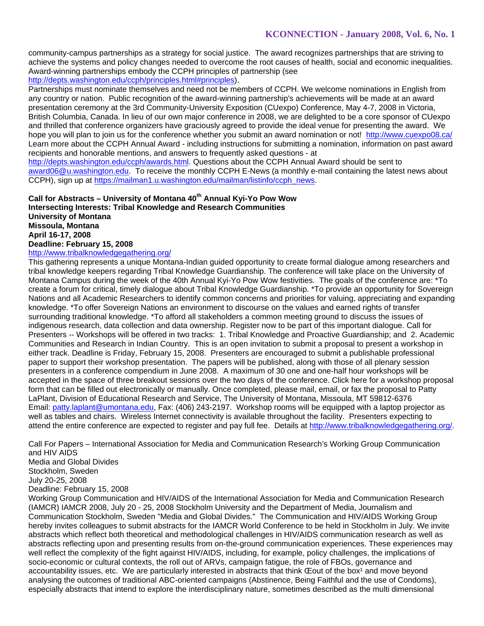community-campus partnerships as a strategy for social justice. The award recognizes partnerships that are striving to achieve the systems and policy changes needed to overcome the root causes of health, social and economic inequalities. Award-winning partnerships embody the CCPH principles of partnership (see

http://depts.washington.edu/ccph/principles.html#principles).

Partnerships must nominate themselves and need not be members of CCPH. We welcome nominations in English from any country or nation. Public recognition of the award-winning partnership's achievements will be made at an award presentation ceremony at the 3rd Community-University Exposition (CUexpo) Conference, May 4-7, 2008 in Victoria, British Columbia, Canada. In lieu of our own major conference in 2008, we are delighted to be a core sponsor of CUexpo and thrilled that conference organizers have graciously agreed to provide the ideal venue for presenting the award. We hope you will plan to join us for the conference whether you submit an award nomination or not! http://www.cuexpo08.ca/ Learn more about the CCPH Annual Award - including instructions for submitting a nomination, information on past award recipients and honorable mentions, and answers to frequently asked questions - at

http://depts.washington.edu/ccph/awards.html. Questions about the CCPH Annual Award should be sent to award06@u.washington.edu. To receive the monthly CCPH E-News (a monthly e-mail containing the latest news about CCPH), sign up at https://mailman1.u.washington.edu/mailman/listinfo/ccph\_news.

**Call for Abstracts – University of Montana 40th Annual Kyi-Yo Pow Wow Intersecting Interests: Tribal Knowledge and Research Communities University of Montana Missoula, Montana April 16-17, 2008 Deadline: February 15, 2008** http://www.tribalknowledgegathering.org/

This gathering represents a unique Montana-Indian guided opportunity to create formal dialogue among researchers and tribal knowledge keepers regarding Tribal Knowledge Guardianship. The conference will take place on the University of Montana Campus during the week of the 40th Annual Kyi-Yo Pow Wow festivities. The goals of the conference are: \*To create a forum for critical, timely dialogue about Tribal Knowledge Guardianship. \*To provide an opportunity for Sovereign Nations and all Academic Researchers to identify common concerns and priorities for valuing, appreciating and expanding knowledge. \*To offer Sovereign Nations an environment to discourse on the values and earned rights of transfer surrounding traditional knowledge. \*To afford all stakeholders a common meeting ground to discuss the issues of indigenous research, data collection and data ownership. Register now to be part of this important dialogue. Call for Presenters -- Workshops will be offered in two tracks: 1. Tribal Knowledge and Proactive Guardianship; and 2. Academic Communities and Research in Indian Country. This is an open invitation to submit a proposal to present a workshop in either track. Deadline is Friday, February 15, 2008. Presenters are encouraged to submit a publishable professional paper to support their workshop presentation. The papers will be published, along with those of all plenary session presenters in a conference compendium in June 2008. A maximum of 30 one and one-half hour workshops will be accepted in the space of three breakout sessions over the two days of the conference. Click here for a workshop proposal form that can be filled out electronically or manually. Once completed, please mail, email, or fax the proposal to Patty LaPlant, Division of Educational Research and Service, The University of Montana, Missoula, MT 59812-6376 Email: patty.laplant@umontana.edu, Fax: (406) 243-2197. Workshop rooms will be equipped with a laptop projector as well as tables and chairs. Wireless Internet connectivity is available throughout the facility. Presenters expecting to attend the entire conference are expected to register and pay full fee. Details at http://www.tribalknowledgegathering.org/.

Call For Papers – International Association for Media and Communication Research's Working Group Communication and HIV AIDS Media and Global Divides Stockholm, Sweden

July 20-25, 2008

Deadline: February 15, 2008

Working Group Communication and HIV/AIDS of the International Association for Media and Communication Research (IAMCR) IAMCR 2008, July 20 - 25, 2008 Stockholm University and the Department of Media, Journalism and Communication Stockholm, Sweden "Media and Global Divides." The Communication and HIV/AIDS Working Group hereby invites colleagues to submit abstracts for the IAMCR World Conference to be held in Stockholm in July. We invite abstracts which reflect both theoretical and methodological challenges in HIV/AIDS communication research as well as abstracts reflecting upon and presenting results from on-the-ground communication experiences. These experiences may well reflect the complexity of the fight against HIV/AIDS, including, for example, policy challenges, the implications of socio-economic or cultural contexts, the roll out of ARVs, campaign fatigue, the role of FBOs, governance and accountability issues, etc. We are particularly interested in abstracts that think Œout of the box<sup>1</sup> and move beyond analysing the outcomes of traditional ABC-oriented campaigns (Abstinence, Being Faithful and the use of Condoms), especially abstracts that intend to explore the interdisciplinary nature, sometimes described as the multi dimensional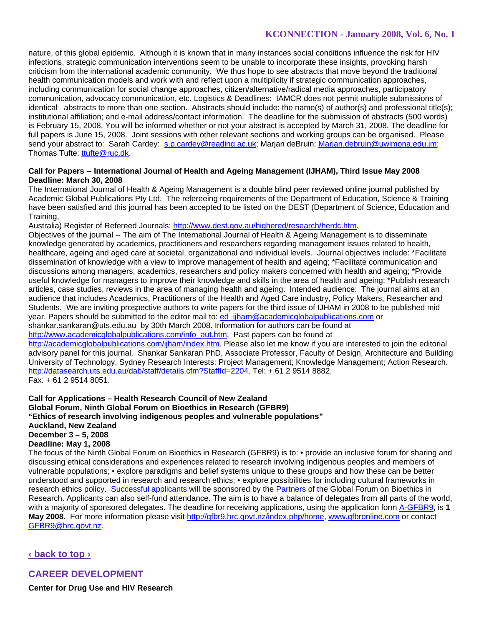nature, of this global epidemic. Although it is known that in many instances social conditions influence the risk for HIV infections, strategic communication interventions seem to be unable to incorporate these insights, provoking harsh criticism from the international academic community. We thus hope to see abstracts that move beyond the traditional health communication models and work with and reflect upon a multiplicity if strategic communication approaches, including communication for social change approaches, citizen/alternative/radical media approaches, participatory communication, advocacy communication, etc. Logistics & Deadlines: IAMCR does not permit multiple submissions of identical abstracts to more than one section. Abstracts should include: the name(s) of author(s) and professional title(s); institutional affiliation; and e-mail address/contact information. The deadline for the submission of abstracts (500 words) is February 15, 2008. You will be informed whether or not your abstract is accepted by March 31, 2008. The deadline for full papers is June 15, 2008. Joint sessions with other relevant sections and working groups can be organised. Please send your abstract to: Sarah Cardey: s.p.cardey@reading.ac.uk; Marjan deBruin: Marjan.debruin@uwimona.edu.jm; Thomas Tufte: ttufte@ruc.dk.

#### **Call for Papers -- International Journal of Health and Ageing Management (IJHAM), Third Issue May 2008 Deadline: March 30, 2008**

The International Journal of Health & Ageing Management is a double blind peer reviewed online journal published by Academic Global Publications Pty Ltd. The refereeing requirements of the Department of Education, Science & Training have been satisfied and this journal has been accepted to be listed on the DEST (Department of Science, Education and Training,

Australia) Register of Refereed Journals: http://www.dest.gov.au/highered/research/herdc.htm.

Objectives of the journal -- The aim of The International Journal of Health & Ageing Management is to disseminate knowledge generated by academics, practitioners and researchers regarding management issues related to health, healthcare, ageing and aged care at societal, organizational and individual levels. Journal objectives include: \*Facilitate dissemination of knowledge with a view to improve management of health and ageing; \*Facilitate communication and discussions among managers, academics, researchers and policy makers concerned with health and ageing; \*Provide useful knowledge for managers to improve their knowledge and skills in the area of health and ageing; \*Publish research articles, case studies, reviews in the area of managing health and ageing. Intended audience: The journal aims at an audience that includes Academics, Practitioners of the Health and Aged Care industry, Policy Makers, Researcher and Students. We are inviting prospective authors to write papers for the third issue of IJHAM in 2008 to be published mid year. Papers should be submitted to the editor mail to: ed\_ijham@academicglobalpublications.com or shankar.sankaran@uts.edu.au by 30th March 2008. Information for authors can be found at http://www.academicglobalpublications.com/info\_aut.htm. Past papers can be found at http://academicglobalpublications.com/ijham/index.htm. Please also let me know if you are interested to join the editorial advisory panel for this journal. Shankar Sankaran PhD, Associate Professor, Faculty of Design, Architecture and Building University of Technology, Sydney Research Interests: Project Management; Knowledge Management; Action Research. http://datasearch.uts.edu.au/dab/staff/details.cfm?StaffId=2204. Tel: + 61 2 9514 8882,

Fax: + 61 2 9514 8051.

#### **Call for Applications – Health Research Council of New Zealand Global Forum, Ninth Global Forum on Bioethics in Research (GFBR9) "Ethics of research involving indigenous peoples and vulnerable populations" Auckland, New Zealand December 3 – 5, 2008**

#### **Deadline: May 1, 2008**

The focus of the Ninth Global Forum on Bioethics in Research (GFBR9) is to: • provide an inclusive forum for sharing and discussing ethical considerations and experiences related to research involving indigenous peoples and members of vulnerable populations; • explore paradigms and belief systems unique to these groups and how these can be better understood and supported in research and research ethics; • explore possibilities for including cultural frameworks in research ethics policy. Successful applicants will be sponsored by the Partners of the Global Forum on Bioethics in Research. Applicants can also self-fund attendance. The aim is to have a balance of delegates from all parts of the world, with a majority of sponsored delegates. The deadline for receiving applications, using the application form A-GFBR9, is **1 May 2008.** For more information please visit http://gfbr9.hrc.govt.nz/index.php/home, www.gfbronline.com or contact GFBR9@hrc.govt.nz.

**‹ back to top ›**

**CAREER DEVELOPMENT**

**Center for Drug Use and HIV Research**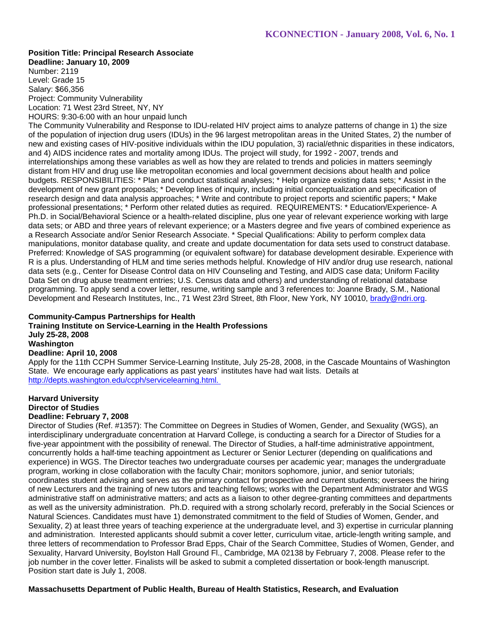**Position Title: Principal Research Associate Deadline: January 10, 2009** Number: 2119 Level: Grade 15 Salary: \$66,356 Project: Community Vulnerability Location: 71 West 23rd Street, NY, NY HOURS: 9:30-6:00 with an hour unpaid lunch

The Community Vulnerability and Response to IDU-related HIV project aims to analyze patterns of change in 1) the size of the population of injection drug users (IDUs) in the 96 largest metropolitan areas in the United States, 2) the number of new and existing cases of HIV-positive individuals within the IDU population, 3) racial/ethnic disparities in these indicators, and 4) AIDS incidence rates and mortality among IDUs. The project will study, for 1992 - 2007, trends and interrelationships among these variables as well as how they are related to trends and policies in matters seemingly distant from HIV and drug use like metropolitan economies and local government decisions about health and police budgets. RESPONSIBILITIES: \* Plan and conduct statistical analyses; \* Help organize existing data sets; \* Assist in the development of new grant proposals; \* Develop lines of inquiry, including initial conceptualization and specification of research design and data analysis approaches; \* Write and contribute to project reports and scientific papers; \* Make professional presentations; \* Perform other related duties as required. REQUIREMENTS: \* Education/Experience- A Ph.D. in Social/Behavioral Science or a health-related discipline, plus one year of relevant experience working with large data sets; or ABD and three years of relevant experience; or a Masters degree and five years of combined experience as a Research Associate and/or Senior Research Associate. \* Special Qualifications: Ability to perform complex data manipulations, monitor database quality, and create and update documentation for data sets used to construct database. Preferred: Knowledge of SAS programming (or equivalent software) for database development desirable. Experience with R is a plus. Understanding of HLM and time series methods helpful. Knowledge of HIV and/or drug use research, national data sets (e.g., Center for Disease Control data on HIV Counseling and Testing, and AIDS case data; Uniform Facility Data Set on drug abuse treatment entries; U.S. Census data and others) and understanding of relational database programming. To apply send a cover letter, resume, writing sample and 3 references to: Joanne Brady, S.M., National Development and Research Institutes, Inc., 71 West 23rd Street, 8th Floor, New York, NY 10010, brady@ndri.org.

#### **Community-Campus Partnerships for Health**

#### **Training Institute on Service-Learning in the Health Professions July 25-28, 2008 Washington**

#### **Deadline: April 10, 2008**

Apply for the 11th CCPH Summer Service-Learning Institute, July 25-28, 2008, in the Cascade Mountains of Washington State. We encourage early applications as past years' institutes have had wait lists. Details at http://depts.washington.edu/ccph/servicelearning.html.

#### **Harvard University Director of Studies Deadline: February 7, 2008**

Director of Studies (Ref. #1357): The Committee on Degrees in Studies of Women, Gender, and Sexuality (WGS), an interdisciplinary undergraduate concentration at Harvard College, is conducting a search for a Director of Studies for a five-year appointment with the possibility of renewal. The Director of Studies, a half-time administrative appointment, concurrently holds a half-time teaching appointment as Lecturer or Senior Lecturer (depending on qualifications and experience) in WGS. The Director teaches two undergraduate courses per academic year; manages the undergraduate program, working in close collaboration with the faculty Chair; monitors sophomore, junior, and senior tutorials; coordinates student advising and serves as the primary contact for prospective and current students; oversees the hiring of new Lecturers and the training of new tutors and teaching fellows; works with the Department Administrator and WGS administrative staff on administrative matters; and acts as a liaison to other degree-granting committees and departments as well as the university administration. Ph.D. required with a strong scholarly record, preferably in the Social Sciences or Natural Sciences. Candidates must have 1) demonstrated commitment to the field of Studies of Women, Gender, and Sexuality, 2) at least three years of teaching experience at the undergraduate level, and 3) expertise in curricular planning and administration. Interested applicants should submit a cover letter, curriculum vitae, article-length writing sample, and three letters of recommendation to Professor Brad Epps, Chair of the Search Committee, Studies of Women, Gender, and Sexuality, Harvard University, Boylston Hall Ground Fl., Cambridge, MA 02138 by February 7, 2008. Please refer to the job number in the cover letter. Finalists will be asked to submit a completed dissertation or book-length manuscript. Position start date is July 1, 2008.

#### **Massachusetts Department of Public Health, Bureau of Health Statistics, Research, and Evaluation**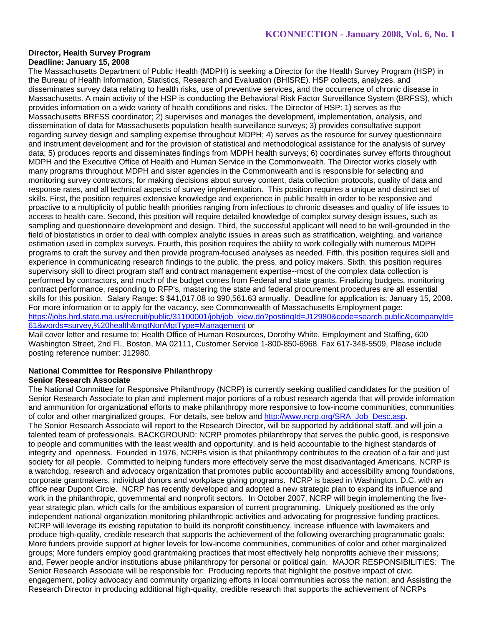#### **Director, Health Survey Program Deadline: January 15, 2008**

The Massachusetts Department of Public Health (MDPH) is seeking a Director for the Health Survey Program (HSP) in the Bureau of Health Information, Statistics, Research and Evaluation (BHISRE). HSP collects, analyzes, and disseminates survey data relating to health risks, use of preventive services, and the occurrence of chronic disease in Massachusetts. A main activity of the HSP is conducting the Behavioral Risk Factor Surveillance System (BRFSS), which provides information on a wide variety of health conditions and risks. The Director of HSP: 1) serves as the Massachusetts BRFSS coordinator; 2) supervises and manages the development, implementation, analysis, and dissemination of data for Massachusetts population health surveillance surveys; 3) provides consultative support regarding survey design and sampling expertise throughout MDPH; 4) serves as the resource for survey questionnaire and instrument development and for the provision of statistical and methodological assistance for the analysis of survey data; 5) produces reports and disseminates findings from MDPH health surveys; 6) coordinates survey efforts throughout MDPH and the Executive Office of Health and Human Service in the Commonwealth. The Director works closely with many programs throughout MDPH and sister agencies in the Commonwealth and is responsible for selecting and monitoring survey contractors; for making decisions about survey content, data collection protocols, quality of data and response rates, and all technical aspects of survey implementation. This position requires a unique and distinct set of skills. First, the position requires extensive knowledge and experience in public health in order to be responsive and proactive to a multiplicity of public health priorities ranging from infectious to chronic diseases and quality of life issues to access to health care. Second, this position will require detailed knowledge of complex survey design issues, such as sampling and questionnaire development and design. Third, the successful applicant will need to be well-grounded in the field of biostatistics in order to deal with complex analytic issues in areas such as stratification, weighting, and variance estimation used in complex surveys. Fourth, this position requires the ability to work collegially with numerous MDPH programs to craft the survey and then provide program-focused analyses as needed. Fifth, this position requires skill and experience in communicating research findings to the public, the press, and policy makers. Sixth, this position requires supervisory skill to direct program staff and contract management expertise--most of the complex data collection is performed by contractors, and much of the budget comes from Federal and state grants. Finalizing budgets, monitoring contract performance, responding to RFP's, mastering the state and federal procurement procedures are all essential skills for this position. Salary Range: \$ \$41,017.08 to \$90,561.63 annually. Deadline for application is: January 15, 2008. For more information or to apply for the vacancy, see Commonwealth of Massachusetts Employment page: https://jobs.hrd.state.ma.us/recruit/public/31100001/job/job\_view.do?postingId=J12980&code=search.public&companyId= 61&words=survey,%20health&mgtNonMgtType=Management or

Mail cover letter and resume to: Health Office of Human Resources, Dorothy White, Employment and Staffing, 600 Washington Street, 2nd Fl., Boston, MA 02111, Customer Service 1-800-850-6968. Fax 617-348-5509, Please include posting reference number: J12980.

#### **National Committee for Responsive Philanthropy Senior Research Associate**

The National Committee for Responsive Philanthropy (NCRP) is currently seeking qualified candidates for the position of Senior Research Associate to plan and implement major portions of a robust research agenda that will provide information and ammunition for organizational efforts to make philanthropy more responsive to low-income communities, communities of color and other marginalized groups. For details, see below and http://www.ncrp.org/SRA\_Job\_Desc.asp. The Senior Research Associate will report to the Research Director, will be supported by additional staff, and will join a talented team of professionals. BACKGROUND: NCRP promotes philanthropy that serves the public good, is responsive to people and communities with the least wealth and opportunity, and is held accountable to the highest standards of integrity and openness. Founded in 1976, NCRPs vision is that philanthropy contributes to the creation of a fair and just society for all people. Committed to helping funders more effectively serve the most disadvantaged Americans, NCRP is a watchdog, research and advocacy organization that promotes public accountability and accessibility among foundations, corporate grantmakers, individual donors and workplace giving programs. NCRP is based in Washington, D.C. with an office near Dupont Circle. NCRP has recently developed and adopted a new strategic plan to expand its influence and work in the philanthropic, governmental and nonprofit sectors. In October 2007, NCRP will begin implementing the fiveyear strategic plan, which calls for the ambitious expansion of current programming. Uniquely positioned as the only independent national organization monitoring philanthropic activities and advocating for progressive funding practices, NCRP will leverage its existing reputation to build its nonprofit constituency, increase influence with lawmakers and produce high-quality, credible research that supports the achievement of the following overarching programmatic goals: More funders provide support at higher levels for low-income communities, communities of color and other marginalized groups; More funders employ good grantmaking practices that most effectively help nonprofits achieve their missions; and, Fewer people and/or institutions abuse philanthropy for personal or political gain. MAJOR RESPONSIBILITIES: The Senior Research Associate will be responsible for: Producing reports that highlight the positive impact of civic engagement, policy advocacy and community organizing efforts in local communities across the nation; and Assisting the Research Director in producing additional high-quality, credible research that supports the achievement of NCRPs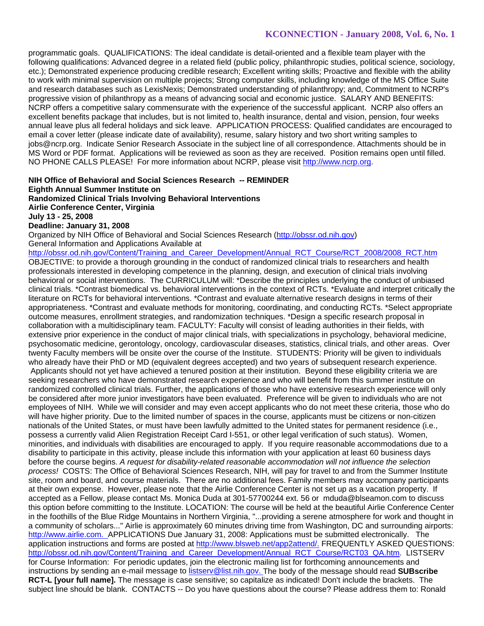programmatic goals. QUALIFICATIONS: The ideal candidate is detail-oriented and a flexible team player with the following qualifications: Advanced degree in a related field (public policy, philanthropic studies, political science, sociology, etc.); Demonstrated experience producing credible research; Excellent writing skills; Proactive and flexible with the ability to work with minimal supervision on multiple projects; Strong computer skills, including knowledge of the MS Office Suite and research databases such as LexisNexis; Demonstrated understanding of philanthropy; and, Commitment to NCRP's progressive vision of philanthropy as a means of advancing social and economic justice. SALARY AND BENEFITS: NCRP offers a competitive salary commensurate with the experience of the successful applicant. NCRP also offers an excellent benefits package that includes, but is not limited to, health insurance, dental and vision, pension, four weeks annual leave plus all federal holidays and sick leave. APPLICATION PROCESS: Qualified candidates are encouraged to email a cover letter (please indicate date of availability), resume, salary history and two short writing samples to jobs@ncrp.org. Indicate Senior Research Associate in the subject line of all correspondence. Attachments should be in MS Word or PDF format. Applications will be reviewed as soon as they are received. Position remains open until filled. NO PHONE CALLS PLEASE! For more information about NCRP, please visit http://www.ncrp.org.

#### **NIH Office of Behavioral and Social Sciences Research -- REMINDER Eighth Annual Summer Institute on Randomized Clinical Trials Involving Behavioral Interventions Airlie Conference Center, Virginia July 13 - 25, 2008**

**Deadline: January 31, 2008**

Organized by NIH Office of Behavioral and Social Sciences Research (http://obssr.od.nih.gov) General Information and Applications Available at

http://obssr.od.nih.gov/Content/Training\_and\_Career\_Development/Annual\_RCT\_Course/RCT\_2008/2008\_RCT.htm OBJECTIVE: to provide a thorough grounding in the conduct of randomized clinical trials to researchers and health professionals interested in developing competence in the planning, design, and execution of clinical trials involving behavioral or social interventions. The CURRICULUM will: \*Describe the principles underlying the conduct of unbiased clinical trials. \*Contrast biomedical vs. behavioral interventions in the context of RCTs. \*Evaluate and interpret critically the literature on RCTs for behavioral interventions. \*Contrast and evaluate alternative research designs in terms of their appropriateness. \*Contrast and evaluate methods for monitoring, coordinating, and conducting RCTs. \*Select appropriate outcome measures, enrollment strategies, and randomization techniques. \*Design a specific research proposal in collaboration with a multidisciplinary team. FACULTY: Faculty will consist of leading authorities in their fields, with extensive prior experience in the conduct of major clinical trials, with specializations in psychology, behavioral medicine, psychosomatic medicine, gerontology, oncology, cardiovascular diseases, statistics, clinical trials, and other areas. Over twenty Faculty members will be onsite over the course of the Institute. STUDENTS: Priority will be given to individuals who already have their PhD or MD (equivalent degrees accepted) and two years of subsequent research experience. Applicants should not yet have achieved a tenured position at their institution. Beyond these eligibility criteria we are seeking researchers who have demonstrated research experience and who will benefit from this summer institute on randomized controlled clinical trials. Further, the applications of those who have extensive research experience will only be considered after more junior investigators have been evaluated. Preference will be given to individuals who are not employees of NIH. While we will consider and may even accept applicants who do not meet these criteria, those who do will have higher priority. Due to the limited number of spaces in the course, applicants must be citizens or non-citizen nationals of the United States, or must have been lawfully admitted to the United states for permanent residence (i.e., possess a currently valid Alien Registration Receipt Card I-551, or other legal verification of such status). Women, minorities, and individuals with disabilities are encouraged to apply. If you require reasonable accommodations due to a disability to participate in this activity, please include this information with your application at least 60 business days before the course begins. *A request for disability-related reasonable accommodation will not influence the selection process!* COSTS: The Office of Behavioral Sciences Research, NIH, will pay for travel to and from the Summer Institute site, room and board, and course materials. There are no additional fees. Family members may accompany participants at their own expense. However, please note that the Airlie Conference Center is not set up as a vacation property. If accepted as a Fellow, please contact Ms. Monica Duda at 301-57700244 ext. 56 or mduda@blseamon.com to discuss this option before committing to the Institute. LOCATION: The course will be held at the beautiful Airlie Conference Center in the foothills of the Blue Ridge Mountains in Northern Virginia, "...providing a serene atmosphere for work and thought in a community of scholars..." Airlie is approximately 60 minutes driving time from Washington, DC and surrounding airports: http://www.airlie.com. APPLICATIONS Due January 31, 2008: Applications must be submitted electronically. The application instructions and forms are posted at http://www.blsweb.net/app2attend/. FREQUENTLY ASKED QUESTIONS: http://obssr.od.nih.gov/Content/Training\_and\_Career\_Development/Annual\_RCT\_Course/RCT03\_QA.htm. LISTSERV for Course Information:For periodic updates, join the electronic mailing list for forthcoming announcements and instructions by sending an e-mail message to listserv@list.nih.gov. The body of the message should read **SUBscribe RCT-L [your full name].** The message is case sensitive; so capitalize as indicated! Don't include the brackets. The subject line should be blank. CONTACTS -- Do you have questions about the course? Please address them to: Ronald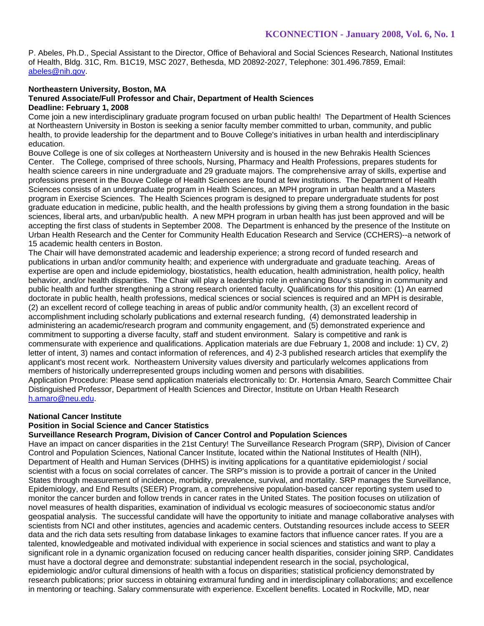P. Abeles, Ph.D., Special Assistant to the Director, Office of Behavioral and Social Sciences Research, National Institutes of Health, Bldg. 31C, Rm. B1C19, MSC 2027, Bethesda, MD 20892-2027, Telephone: 301.496.7859, Email: abeles@nih.gov.

#### **Northeastern University, Boston, MA**

#### **Tenured Associate/Full Professor and Chair, Department of Health Sciences Deadline: February 1, 2008**

Come join a new interdisciplinary graduate program focused on urban public health! The Department of Health Sciences at Northeastern University in Boston is seeking a senior faculty member committed to urban, community, and public health, to provide leadership for the department and to Bouve College's initiatives in urban health and interdisciplinary education.

Bouve College is one of six colleges at Northeastern University and is housed in the new Behrakis Health Sciences Center. The College, comprised of three schools, Nursing, Pharmacy and Health Professions, prepares students for health science careers in nine undergraduate and 29 graduate majors. The comprehensive array of skills, expertise and professions present in the Bouve College of Health Sciences are found at few institutions. The Department of Health Sciences consists of an undergraduate program in Health Sciences, an MPH program in urban health and a Masters program in Exercise Sciences. The Health Sciences program is designed to prepare undergraduate students for post graduate education in medicine, public health, and the health professions by giving them a strong foundation in the basic sciences, liberal arts, and urban/public health. A new MPH program in urban health has just been approved and will be accepting the first class of students in September 2008. The Department is enhanced by the presence of the Institute on Urban Health Research and the Center for Community Health Education Research and Service (CCHERS)--a network of 15 academic health centers in Boston.

The Chair will have demonstrated academic and leadership experience; a strong record of funded research and publications in urban and/or community health; and experience with undergraduate and graduate teaching. Areas of expertise are open and include epidemiology, biostatistics, health education, health administration, health policy, health behavior, and/or health disparities. The Chair will play a leadership role in enhancing Bouv's standing in community and public health and further strengthening a strong research oriented faculty. Qualifications for this position: (1) An earned doctorate in public health, health professions, medical sciences or social sciences is required and an MPH is desirable, (2) an excellent record of college teaching in areas of public and/or community health, (3) an excellent record of accomplishment including scholarly publications and external research funding, (4) demonstrated leadership in administering an academic/research program and community engagement, and (5) demonstrated experience and commitment to supporting a diverse faculty, staff and student environment. Salary is competitive and rank is commensurate with experience and qualifications. Application materials are due February 1, 2008 and include: 1) CV, 2) letter of intent, 3) names and contact information of references, and 4) 2-3 published research articles that exemplify the applicant's most recent work. Northeastern University values diversity and particularly welcomes applications from members of historically underrepresented groups including women and persons with disabilities. Application Procedure: Please send application materials electronically to: Dr. Hortensia Amaro, Search Committee Chair Distinguished Professor, Department of Health Sciences and Director, Institute on Urban Health Research h.amaro@neu.edu.

#### **National Cancer Institute**

### **Position in Social Science and Cancer Statistics**

**Surveillance Research Program, Division of Cancer Control and Population Sciences** 

Have an impact on cancer disparities in the 21st Century! The Surveillance Research Program (SRP), Division of Cancer Control and Population Sciences, National Cancer Institute, located within the National Institutes of Health (NIH), Department of Health and Human Services (DHHS) is inviting applications for a quantitative epidemiologist / social scientist with a focus on social correlates of cancer. The SRP's mission is to provide a portrait of cancer in the United States through measurement of incidence, morbidity, prevalence, survival, and mortality. SRP manages the Surveillance, Epidemiology, and End Results (SEER) Program, a comprehensive population-based cancer reporting system used to monitor the cancer burden and follow trends in cancer rates in the United States. The position focuses on utilization of novel measures of health disparities, examination of individual vs ecologic measures of socioeconomic status and/or geospatial analysis. The successful candidate will have the opportunity to initiate and manage collaborative analyses with scientists from NCI and other institutes, agencies and academic centers. Outstanding resources include access to SEER data and the rich data sets resulting from database linkages to examine factors that influence cancer rates. If you are a talented, knowledgeable and motivated individual with experience in social sciences and statistics and want to play a significant role in a dynamic organization focused on reducing cancer health disparities, consider joining SRP. Candidates must have a doctoral degree and demonstrate: substantial independent research in the social, psychological, epidemiologic and/or cultural dimensions of health with a focus on disparities; statistical proficiency demonstrated by research publications; prior success in obtaining extramural funding and in interdisciplinary collaborations; and excellence in mentoring or teaching. Salary commensurate with experience. Excellent benefits. Located in Rockville, MD, near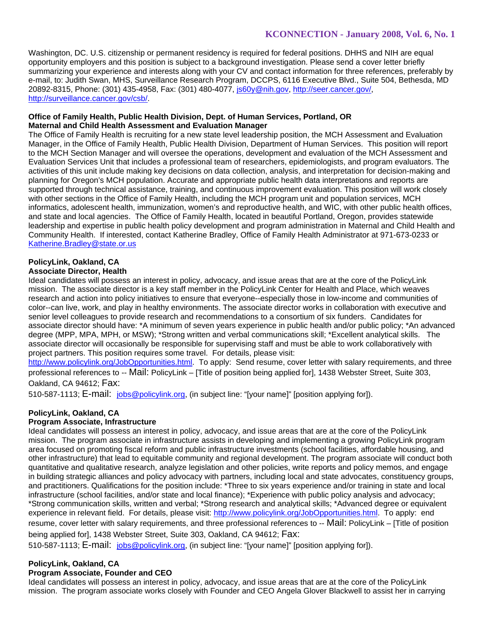Washington, DC. U.S. citizenship or permanent residency is required for federal positions. DHHS and NIH are equal opportunity employers and this position is subject to a background investigation. Please send a cover letter briefly summarizing your experience and interests along with your CV and contact information for three references, preferably by e-mail, to: Judith Swan, MHS, Surveillance Research Program, DCCPS, 6116 Executive Blvd., Suite 504, Bethesda, MD 20892-8315, Phone: (301) 435-4958, Fax: (301) 480-4077, js60y@nih.gov, http://seer.cancer.gov/, http://surveillance.cancer.gov/csb/.

#### **Office of Family Health, Public Health Division, Dept. of Human Services, Portland, OR Maternal and Child Health Assessment and Evaluation Manager**

The Office of Family Health is recruiting for a new state level leadership position, the MCH Assessment and Evaluation Manager, in the Office of Family Health, Public Health Division, Department of Human Services. This position will report to the MCH Section Manager and will oversee the operations, development and evaluation of the MCH Assessment and Evaluation Services Unit that includes a professional team of researchers, epidemiologists, and program evaluators. The activities of this unit include making key decisions on data collection, analysis, and interpretation for decision-making and planning for Oregon's MCH population. Accurate and appropriate public health data interpretations and reports are supported through technical assistance, training, and continuous improvement evaluation. This position will work closely with other sections in the Office of Family Health, including the MCH program unit and population services, MCH informatics, adolescent health, immunization, women's and reproductive health, and WIC, with other public health offices, and state and local agencies. The Office of Family Health, located in beautiful Portland, Oregon, provides statewide leadership and expertise in public health policy development and program administration in Maternal and Child Health and Community Health. If interested, contact Katherine Bradley, Office of Family Health Administrator at 971-673-0233 or Katherine.Bradley@state.or.us

# **PolicyLink, Oakland, CA**

## **Associate Director, Health**

Ideal candidates will possess an interest in policy, advocacy, and issue areas that are at the core of the PolicyLink mission. The associate director is a key staff member in the PolicyLink Center for Health and Place, which weaves research and action into policy initiatives to ensure that everyone--especially those in low-income and communities of color--can live, work, and play in healthy environments. The associate director works in collaboration with executive and senior level colleagues to provide research and recommendations to a consortium of six funders. Candidates for associate director should have: \*A minimum of seven years experience in public health and/or public policy; \*An advanced degree (MPP, MPA, MPH, or MSW); \*Strong written and verbal communications skill; \*Excellent analytical skills. The associate director will occasionally be responsible for supervising staff and must be able to work collaboratively with project partners. This position requires some travel. For details, please visit:

http://www.policylink.org/JobOpportunities.html. To apply: Send resume, cover letter with salary requirements, and three professional references to -- Mail: PolicyLink – [Title of position being applied for], 1438 Webster Street, Suite 303, Oakland, CA 94612; Fax:

510-587-1113; E-mail:jobs@policylink.org, (in subject line: "[your name]" [position applying for]).

## **PolicyLink, Oakland, CA**

## **Program Associate, Infrastructure**

Ideal candidates will possess an interest in policy, advocacy, and issue areas that are at the core of the PolicyLink mission. The program associate in infrastructure assists in developing and implementing a growing PolicyLink program area focused on promoting fiscal reform and public infrastructure investments (school facilities, affordable housing, and other infrastructure) that lead to equitable community and regional development. The program associate will conduct both quantitative and qualitative research, analyze legislation and other policies, write reports and policy memos, and engage in building strategic alliances and policy advocacy with partners, including local and state advocates, constituency groups, and practitioners. Qualifications for the position include: \*Three to six years experience and/or training in state and local infrastructure (school facilities, and/or state and local finance); \*Experience with public policy analysis and advocacy; \*Strong communication skills, written and verbal; \*Strong research and analytical skills; \*Advanced degree or equivalent experience in relevant field. For details, please visit: http://www.policylink.org/JobOpportunities.html. To apply: end resume, cover letter with salary requirements, and three professional references to -- Mail: PolicyLink – [Title of position being applied for], 1438 Webster Street, Suite 303, Oakland, CA 94612; Fax:

510-587-1113; E-mail:jobs@policylink.org, (in subject line: "[your name]" [position applying for]).

### **PolicyLink, Oakland, CA**

#### **Program Associate, Founder and CEO**

Ideal candidates will possess an interest in policy, advocacy, and issue areas that are at the core of the PolicyLink mission. The program associate works closely with Founder and CEO Angela Glover Blackwell to assist her in carrying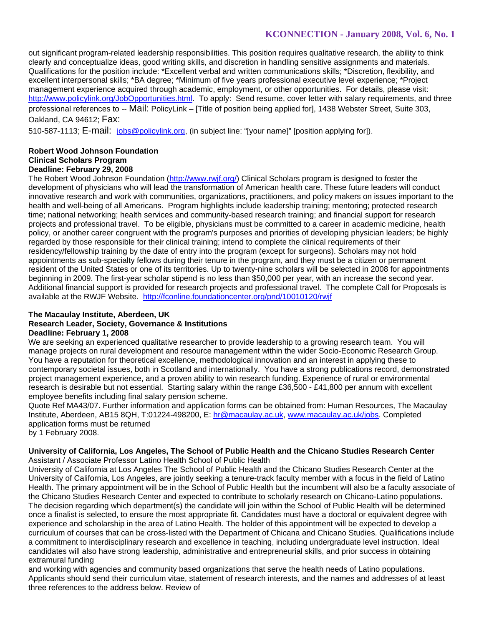out significant program-related leadership responsibilities. This position requires qualitative research, the ability to think clearly and conceptualize ideas, good writing skills, and discretion in handling sensitive assignments and materials. Qualifications for the position include: \*Excellent verbal and written communications skills; \*Discretion, flexibility, and excellent interpersonal skills; \*BA degree; \*Minimum of five years professional executive level experience; \*Project management experience acquired through academic, employment, or other opportunities. For details, please visit: http://www.policylink.org/JobOpportunities.html. To apply: Send resume, cover letter with salary requirements, and three professional references to -- Mail: PolicyLink – [Title of position being applied for], 1438 Webster Street, Suite 303, Oakland, CA 94612; Fax:

510-587-1113; E-mail:jobs@policylink.org, (in subject line: "[your name]" [position applying for]).

#### **Robert Wood Johnson Foundation Clinical Scholars Program Deadline: February 29, 2008**

The Robert Wood Johnson Foundation (http://www.rwjf.org/) Clinical Scholars program is designed to foster the development of physicians who will lead the transformation of American health care. These future leaders will conduct innovative research and work with communities, organizations, practitioners, and policy makers on issues important to the health and well-being of all Americans. Program highlights include leadership training; mentoring; protected research time; national networking; health services and community-based research training; and financial support for research projects and professional travel. To be eligible, physicians must be committed to a career in academic medicine, health policy, or another career congruent with the program's purposes and priorities of developing physician leaders; be highly regarded by those responsible for their clinical training; intend to complete the clinical requirements of their residency/fellowship training by the date of entry into the program (except for surgeons). Scholars may not hold appointments as sub-specialty fellows during their tenure in the program, and they must be a citizen or permanent resident of the United States or one of its territories. Up to twenty-nine scholars will be selected in 2008 for appointments beginning in 2009. The first-year scholar stipend is no less than \$50,000 per year, with an increase the second year. Additional financial support is provided for research projects and professional travel. The complete Call for Proposals is available at the RWJF Website. http://fconline.foundationcenter.org/pnd/10010120/rwif

#### **The Macaulay Institute, Aberdeen, UK Research Leader, Society, Governance & Institutions Deadline: February 1, 2008**

We are seeking an experienced qualitative researcher to provide leadership to a growing research team. You will manage projects on rural development and resource management within the wider Socio-Economic Research Group. You have a reputation for theoretical excellence, methodological innovation and an interest in applying these to contemporary societal issues, both in Scotland and internationally. You have a strong publications record, demonstrated project management experience, and a proven ability to win research funding. Experience of rural or environmental research is desirable but not essential. Starting salary within the range £36,500 - £41,800 per annum with excellent employee benefits including final salary pension scheme.

Quote Ref MA43/07. Further information and application forms can be obtained from: Human Resources, The Macaulay Institute, Aberdeen, AB15 8QH, T:01224-498200, E: hr@macaulay.ac.uk, www.macaulay.ac.uk/jobs. Completed application forms must be returned by 1 February 2008.

## **University of California, Los Angeles, The School of Public Health and the Chicano Studies Research Center** Assistant / Associate Professor Latino Health School of Public Health

University of California at Los Angeles The School of Public Health and the Chicano Studies Research Center at the University of California, Los Angeles, are jointly seeking a tenure-track faculty member with a focus in the field of Latino Health. The primary appointment will be in the School of Public Health but the incumbent will also be a faculty associate of the Chicano Studies Research Center and expected to contribute to scholarly research on Chicano-Latino populations. The decision regarding which department(s) the candidate will join within the School of Public Health will be determined once a finalist is selected, to ensure the most appropriate fit. Candidates must have a doctoral or equivalent degree with experience and scholarship in the area of Latino Health. The holder of this appointment will be expected to develop a curriculum of courses that can be cross-listed with the Department of Chicana and Chicano Studies. Qualifications include a commitment to interdisciplinary research and excellence in teaching, including undergraduate level instruction. Ideal candidates will also have strong leadership, administrative and entrepreneurial skills, and prior success in obtaining extramural funding

and working with agencies and community based organizations that serve the health needs of Latino populations. Applicants should send their curriculum vitae, statement of research interests, and the names and addresses of at least three references to the address below. Review of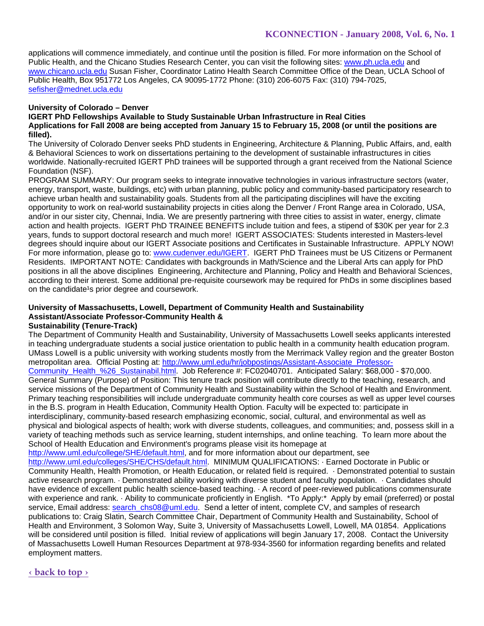applications will commence immediately, and continue until the position is filled. For more information on the School of Public Health, and the Chicano Studies Research Center, you can visit the following sites: www.ph.ucla.edu and www.chicano.ucla.edu Susan Fisher, Coordinator Latino Health Search Committee Office of the Dean, UCLA School of Public Health, Box 951772 Los Angeles, CA 90095-1772 Phone: (310) 206-6075 Fax: (310) 794-7025, sefisher@mednet.ucla.edu

#### **University of Colorado – Denver**

## **IGERT PhD Fellowships Available to Study Sustainable Urban Infrastructure in Real Cities Applications for Fall 2008 are being accepted from January 15 to February 15, 2008 (or until the positions are filled).**

The University of Colorado Denver seeks PhD students in Engineering, Architecture & Planning, Public Affairs, and, ealth & Behavioral Sciences to work on dissertations pertaining to the development of sustainable infrastructures in cities worldwide. Nationally-recruited IGERT PhD trainees will be supported through a grant received from the National Science Foundation (NSF).

PROGRAM SUMMARY: Our program seeks to integrate innovative technologies in various infrastructure sectors (water, energy, transport, waste, buildings, etc) with urban planning, public policy and community-based participatory research to achieve urban health and sustainability goals. Students from all the participating disciplines will have the exciting opportunity to work on real-world sustainability projects in cities along the Denver / Front Range area in Colorado, USA, and/or in our sister city, Chennai, India. We are presently partnering with three cities to assist in water, energy, climate action and health projects. IGERT PhD TRAINEE BENEFITS include tuition and fees, a stipend of \$30K per year for 2.3 years, funds to support doctoral research and much more! IGERT ASSOCIATES: Students interested in Masters-level degrees should inquire about our IGERT Associate positions and Certificates in Sustainable Infrastructure. APPLY NOW! For more information, please go to: www.cudenver.edu/IGERT. IGERT PhD Trainees must be US Citizens or Permanent Residents. IMPORTANT NOTE: Candidates with backgrounds in Math/Science and the Liberal Arts can apply for PhD positions in all the above disciplines Engineering, Architecture and Planning, Policy and Health and Behavioral Sciences, according to their interest. Some additional pre-requisite coursework may be required for PhDs in some disciplines based on the candidate<sup>1</sup>s prior degree and coursework.

## **University of Massachusetts, Lowell, Department of Community Health and Sustainability Assistant/Associate Professor-Community Health &**

#### **Sustainability (Tenure-Track)**

The Department of Community Health and Sustainability, University of Massachusetts Lowell seeks applicants interested in teaching undergraduate students a social justice orientation to public health in a community health education program. UMass Lowell is a public university with working students mostly from the Merrimack Valley region and the greater Boston metropolitan area. Official Posting at: http://www.uml.edu/hr/jobpostings/Assistant-Associate\_Professor-Community\_Health\_%26\_Sustainabil.html. Job Reference #: FC02040701. Anticipated Salary: \$68,000 - \$70,000. General Summary (Purpose) of Position: This tenure track position will contribute directly to the teaching, research, and service missions of the Department of Community Health and Sustainability within the School of Health and Environment. Primary teaching responsibilities will include undergraduate community health core courses as well as upper level courses in the B.S. program in Health Education, Community Health Option. Faculty will be expected to: participate in interdisciplinary, community-based research emphasizing economic, social, cultural, and environmental as well as physical and biological aspects of health; work with diverse students, colleagues, and communities; and, possess skill in a variety of teaching methods such as service learning, student internships, and online teaching. To learn more about the

School of Health Education and Environment's programs please visit its homepage at

http://www.uml.edu/college/SHE/default.html, and for more information about our department, see

http://www.uml.edu/colleges/SHE/CHS/default.html. MINIMUM QUALIFICATIONS: · Earned Doctorate in Public or Community Health, Health Promotion, or Health Education, or related field is required. · Demonstrated potential to sustain active research program. · Demonstrated ability working with diverse student and faculty population. · Candidates should have evidence of excellent public health science-based teaching.  $\cdot$  A record of peer-reviewed publications commensurate with experience and rank. · Ability to communicate proficiently in English. \*To Apply:\* Apply by email (preferred) or postal service, Email address: search\_chs08@uml.edu. Send a letter of intent, complete CV, and samples of research publications to: Craig Slatin, Search Committee Chair, Department of Community Health and Sustainability, School of Health and Environment, 3 Solomon Way, Suite 3, University of Massachusetts Lowell, Lowell, MA 01854. Applications will be considered until position is filled. Initial review of applications will begin January 17, 2008. Contact the University of Massachusetts Lowell Human Resources Department at 978-934-3560 for information regarding benefits and related employment matters.

### **‹ back to top ›**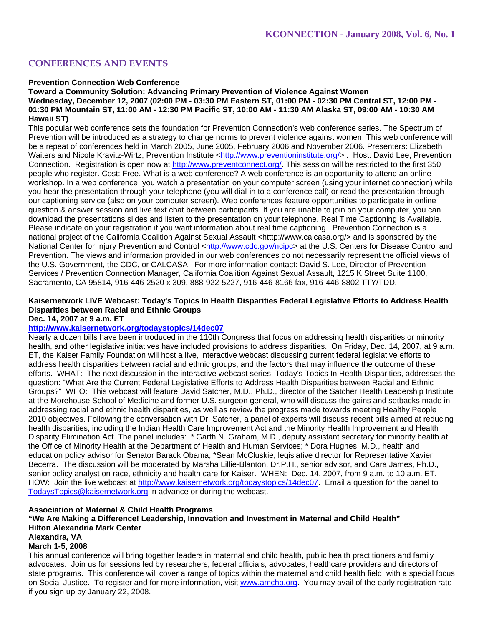## **CONFERENCES AND EVENTS**

#### **Prevention Connection Web Conference**

**Toward a Community Solution: Advancing Primary Prevention of Violence Against Women Wednesday, December 12, 2007 (02:00 PM - 03:30 PM Eastern ST, 01:00 PM - 02:30 PM Central ST, 12:00 PM - 01:30 PM Mountain ST, 11:00 AM - 12:30 PM Pacific ST, 10:00 AM - 11:30 AM Alaska ST, 09:00 AM - 10:30 AM Hawaii ST)** 

This popular web conference sets the foundation for Prevention Connection's web conference series. The Spectrum of Prevention will be introduced as a strategy to change norms to prevent violence against women. This web conference will be a repeat of conferences held in March 2005, June 2005, February 2006 and November 2006. Presenters: Elizabeth Waiters and Nicole Kravitz-Wirtz, Prevention Institute <http://www.preventioninstitute.org/> . Host: David Lee, Prevention Connection. Registration is open now at http://www.preventconnect.org/. This session will be restricted to the first 350 people who register. Cost: Free. What is a web conference? A web conference is an opportunity to attend an online workshop. In a web conference, you watch a presentation on your computer screen (using your internet connection) while you hear the presentation through your telephone (you will dial-in to a conference call) or read the presentation through our captioning service (also on your computer screen). Web conferences feature opportunities to participate in online question & answer session and live text chat between participants. If you are unable to join on your computer, you can download the presentations slides and listen to the presentation on your telephone. Real Time Captioning Is Available. Please indicate on your registration if you want information about real time captioning. Prevention Connection is a national project of the California Coalition Against Sexual Assault <htttp://www.calcasa.org/> and is sponsored by the National Center for Injury Prevention and Control <http://www.cdc.gov/ncipc> at the U.S. Centers for Disease Control and Prevention. The views and information provided in our web conferences do not necessarily represent the official views of the U.S. Government, the CDC, or CALCASA. For more information contact: David S. Lee, Director of Prevention Services / Prevention Connection Manager, California Coalition Against Sexual Assault, 1215 K Street Suite 1100, Sacramento, CA 95814, 916-446-2520 x 309, 888-922-5227, 916-446-8166 fax, 916-446-8802 TTY/TDD.

### **Kaisernetwork LIVE Webcast: Today's Topics In Health Disparities Federal Legislative Efforts to Address Health Disparities between Racial and Ethnic Groups**

#### **Dec. 14, 2007 at 9 a.m. ET**

#### **http://www.kaisernetwork.org/todaystopics/14dec07**

Nearly a dozen bills have been introduced in the 110th Congress that focus on addressing health disparities or minority health, and other legislative initiatives have included provisions to address disparities. On Friday, Dec. 14, 2007, at 9 a.m. ET, the Kaiser Family Foundation will host a live, interactive webcast discussing current federal legislative efforts to address health disparities between racial and ethnic groups, and the factors that may influence the outcome of these efforts. WHAT: The next discussion in the interactive webcast series, Today's Topics In Health Disparities, addresses the question: "What Are the Current Federal Legislative Efforts to Address Health Disparities between Racial and Ethnic Groups?" WHO: This webcast will feature David Satcher, M.D., Ph.D., director of the Satcher Health Leadership Institute at the Morehouse School of Medicine and former U.S. surgeon general, who will discuss the gains and setbacks made in addressing racial and ethnic health disparities, as well as review the progress made towards meeting Healthy People 2010 objectives. Following the conversation with Dr. Satcher, a panel of experts will discuss recent bills aimed at reducing health disparities, including the Indian Health Care Improvement Act and the Minority Health Improvement and Health Disparity Elimination Act. The panel includes: \* Garth N. Graham, M.D., deputy assistant secretary for minority health at the Office of Minority Health at the Department of Health and Human Services; \* Dora Hughes, M.D., health and education policy advisor for Senator Barack Obama; \*Sean McCluskie, legislative director for Representative Xavier Becerra. The discussion will be moderated by Marsha Lillie-Blanton, Dr.P.H., senior advisor, and Cara James, Ph.D., senior policy analyst on race, ethnicity and health care for Kaiser. WHEN: Dec. 14, 2007, from 9 a.m. to 10 a.m. ET. HOW: Join the live webcast at http://www.kaisernetwork.org/todaystopics/14dec07. Email a question for the panel to TodaysTopics@kaisernetwork.org in advance or during the webcast.

#### **Association of Maternal & Child Health Programs**

**"We Are Making a Difference! Leadership, Innovation and Investment in Maternal and Child Health" Hilton Alexandria Mark Center**

## **Alexandra, VA**

**March 1-5, 2008**

This annual conference will bring together leaders in maternal and child health, public health practitioners and family advocates. Join us for sessions led by researchers, federal officials, advocates, healthcare providers and directors of state programs. This conference will cover a range of topics within the maternal and child health field, with a special focus on Social Justice. To register and for more information, visit www.amchp.org. You may avail of the early registration rate if you sign up by January 22, 2008.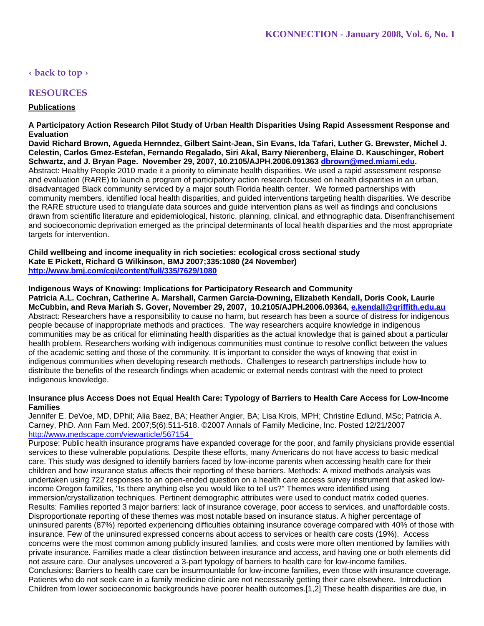## **‹ back to top ›**

## **RESOURCES**

#### **Publications**

**A Participatory Action Research Pilot Study of Urban Health Disparities Using Rapid Assessment Response and Evaluation** 

**David Richard Brown, Agueda Hernndez, Gilbert Saint-Jean, Sin Evans, Ida Tafari, Luther G. Brewster, Michel J. Celestin, Carlos Gmez-Estefan, Fernando Regalado, Siri Akal, Barry Nierenberg, Elaine D. Kauschinger, Robert Schwartz, and J. Bryan Page. November 29, 2007, 10.2105/AJPH.2006.091363 dbrown@med.miami.edu.** Abstract: Healthy People 2010 made it a priority to eliminate health disparities. We used a rapid assessment response and evaluation (RARE) to launch a program of participatory action research focused on health disparities in an urban, disadvantaged Black community serviced by a major south Florida health center. We formed partnerships with community members, identified local health disparities, and guided interventions targeting health disparities. We describe the RARE structure used to triangulate data sources and guide intervention plans as well as findings and conclusions drawn from scientific literature and epidemiological, historic, planning, clinical, and ethnographic data. Disenfranchisement and socioeconomic deprivation emerged as the principal determinants of local health disparities and the most appropriate targets for intervention.

**Child wellbeing and income inequality in rich societies: ecological cross sectional study Kate E Pickett, Richard G Wilkinson, BMJ 2007;335:1080 (24 November) http://www.bmj.com/cgi/content/full/335/7629/1080**

**Indigenous Ways of Knowing: Implications for Participatory Research and Community Patricia A.L. Cochran, Catherine A. Marshall, Carmen Garcia-Downing, Elizabeth Kendall, Doris Cook, Laurie McCubbin, and Reva Mariah S. Gover, November 29, 2007, 10.2105/AJPH.2006.09364, e.kendall@griffith.edu.au** Abstract: Researchers have a responsibility to cause no harm, but research has been a source of distress for indigenous people because of inappropriate methods and practices. The way researchers acquire knowledge in indigenous communities may be as critical for eliminating health disparities as the actual knowledge that is gained about a particular health problem. Researchers working with indigenous communities must continue to resolve conflict between the values of the academic setting and those of the community. It is important to consider the ways of knowing that exist in indigenous communities when developing research methods. Challenges to research partnerships include how to distribute the benefits of the research findings when academic or external needs contrast with the need to protect indigenous knowledge.

#### **Insurance plus Access Does not Equal Health Care: Typology of Barriers to Health Care Access for Low-Income Families**

Jennifer E. DeVoe, MD, DPhil; Alia Baez, BA; Heather Angier, BA; Lisa Krois, MPH; Christine Edlund, MSc; Patricia A. Carney, PhD. Ann Fam Med. 2007;5(6):511-518. ©2007 Annals of Family Medicine, Inc. Posted 12/21/2007 http://www.medscape.com/viewarticle/567154\_

Purpose: Public health insurance programs have expanded coverage for the poor, and family physicians provide essential services to these vulnerable populations. Despite these efforts, many Americans do not have access to basic medical care. This study was designed to identify barriers faced by low-income parents when accessing health care for their children and how insurance status affects their reporting of these barriers. Methods: A mixed methods analysis was undertaken using 722 responses to an open-ended question on a health care access survey instrument that asked lowincome Oregon families, "Is there anything else you would like to tell us?" Themes were identified using immersion/crystallization techniques. Pertinent demographic attributes were used to conduct matrix coded queries. Results: Families reported 3 major barriers: lack of insurance coverage, poor access to services, and unaffordable costs. Disproportionate reporting of these themes was most notable based on insurance status. A higher percentage of uninsured parents (87%) reported experiencing difficulties obtaining insurance coverage compared with 40% of those with insurance. Few of the uninsured expressed concerns about access to services or health care costs (19%). Access concerns were the most common among publicly insured families, and costs were more often mentioned by families with private insurance. Families made a clear distinction between insurance and access, and having one or both elements did not assure care. Our analyses uncovered a 3-part typology of barriers to health care for low-income families. Conclusions: Barriers to health care can be insurmountable for low-income families, even those with insurance coverage. Patients who do not seek care in a family medicine clinic are not necessarily getting their care elsewhere. Introduction Children from lower socioeconomic backgrounds have poorer health outcomes.[1,2] These health disparities are due, in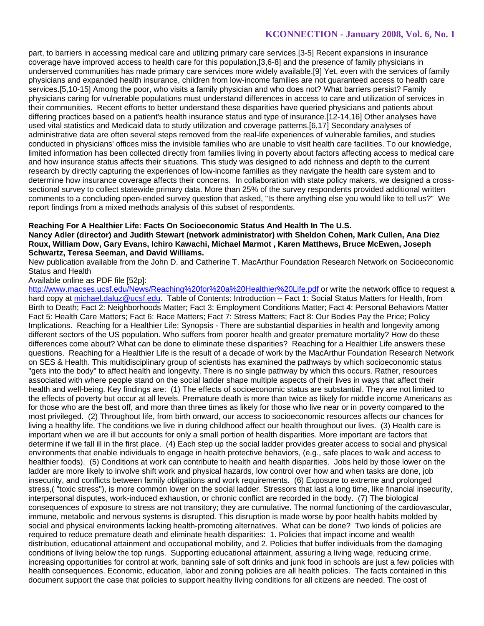part, to barriers in accessing medical care and utilizing primary care services.[3-5] Recent expansions in insurance coverage have improved access to health care for this population,[3,6-8] and the presence of family physicians in underserved communities has made primary care services more widely available.[9] Yet, even with the services of family physicians and expanded health insurance, children from low-income families are not guaranteed access to health care services.[5,10-15] Among the poor, who visits a family physician and who does not? What barriers persist? Family physicians caring for vulnerable populations must understand differences in access to care and utilization of services in their communities. Recent efforts to better understand these disparities have queried physicians and patients about differing practices based on a patient's health insurance status and type of insurance.[12-14,16] Other analyses have used vital statistics and Medicaid data to study utilization and coverage patterns.[6,17] Secondary analyses of administrative data are often several steps removed from the real-life experiences of vulnerable families, and studies conducted in physicians' offices miss the invisible families who are unable to visit health care facilities. To our knowledge, limited information has been collected directly from families living in poverty about factors affecting access to medical care and how insurance status affects their situations. This study was designed to add richness and depth to the current research by directly capturing the experiences of low-income families as they navigate the health care system and to determine how insurance coverage affects their concerns. In collaboration with state policy makers, we designed a crosssectional survey to collect statewide primary data. More than 25% of the survey respondents provided additional written comments to a concluding open-ended survey question that asked, "Is there anything else you would like to tell us?" We report findings from a mixed methods analysis of this subset of respondents.

#### **Reaching For A Healthier Life: Facts On Socioeconomic Status And Health In The U.S. Nancy Adler (director) and Judith Stewart (network administrator) with Sheldon Cohen, Mark Cullen, Ana Diez Roux, William Dow, Gary Evans, Ichiro Kawachi, Michael Marmot , Karen Matthews, Bruce McEwen, Joseph Schwartz, Teresa Seeman, and David Williams.**

New publication available from the John D. and Catherine T. MacArthur Foundation Research Network on Socioeconomic Status and Health

#### Available online as PDF file [52p]:

http://www.macses.ucsf.edu/News/Reaching%20for%20a%20Healthier%20Life.pdf or write the network office to request a hard copy at michael.daluz@ucsf.edu. Table of Contents: Introduction -- Fact 1: Social Status Matters for Health, from Birth to Death; Fact 2: Neighborhoods Matter; Fact 3: Employment Conditions Matter; Fact 4: Personal Behaviors Matter Fact 5: Health Care Matters; Fact 6: Race Matters; Fact 7: Stress Matters; Fact 8: Our Bodies Pay the Price; Policy Implications. Reaching for a Healthier Life: Synopsis - There are substantial disparities in health and longevity among different sectors of the US population. Who suffers from poorer health and greater premature mortality? How do these differences come about? What can be done to eliminate these disparities? Reaching for a Healthier Life answers these questions. Reaching for a Healthier Life is the result of a decade of work by the MacArthur Foundation Research Network on SES & Health. This multidisciplinary group of scientists has examined the pathways by which socioeconomic status "gets into the body" to affect health and longevity. There is no single pathway by which this occurs. Rather, resources associated with where people stand on the social ladder shape multiple aspects of their lives in ways that affect their health and well-being. Key findings are: (1) The effects of socioeconomic status are substantial. They are not limited to the effects of poverty but occur at all levels. Premature death is more than twice as likely for middle income Americans as for those who are the best off, and more than three times as likely for those who live near or in poverty compared to the most privileged. (2) Throughout life, from birth onward, our access to socioeconomic resources affects our chances for living a healthy life. The conditions we live in during childhood affect our health throughout our lives. (3) Health care is important when we are ill but accounts for only a small portion of health disparities. More important are factors that determine if we fall ill in the first place. (4) Each step up the social ladder provides greater access to social and physical environments that enable individuals to engage in health protective behaviors, (e.g., safe places to walk and access to healthier foods). (5) Conditions at work can contribute to health and health disparities. Jobs held by those lower on the ladder are more likely to involve shift work and physical hazards, low control over how and when tasks are done, job insecurity, and conflicts between family obligations and work requirements. (6) Exposure to extreme and prolonged stress,( "toxic stress"), is more common lower on the social ladder. Stressors that last a long time, like financial insecurity, interpersonal disputes, work-induced exhaustion, or chronic conflict are recorded in the body. (7) The biological consequences of exposure to stress are not transitory; they are cumulative. The normal functioning of the cardiovascular, immune, metabolic and nervous systems is disrupted. This disruption is made worse by poor health habits molded by social and physical environments lacking health-promoting alternatives. What can be done? Two kinds of policies are required to reduce premature death and eliminate health disparities: 1. Policies that impact income and wealth distribution, educational attainment and occupational mobility, and 2. Policies that buffer individuals from the damaging conditions of living below the top rungs. Supporting educational attainment, assuring a living wage, reducing crime, increasing opportunities for control at work, banning sale of soft drinks and junk food in schools are just a few policies with health consequences. Economic, education, labor and zoning policies are all health policies. The facts contained in this document support the case that policies to support healthy living conditions for all citizens are needed. The cost of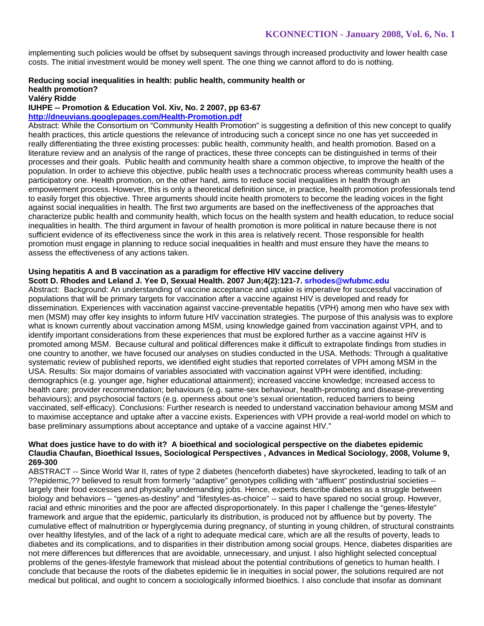implementing such policies would be offset by subsequent savings through increased productivity and lower health case costs. The initial investment would be money well spent. The one thing we cannot afford to do is nothing.

## **Reducing social inequalities in health: public health, community health or health promotion?**

#### **Valéry Ridde**

#### **IUHPE -- Promotion & Education Vol. Xiv, No. 2 2007, pp 63-67**

#### **http://dneuvians.googlepages.com/Health-Promotion.pdf**

Abstract: While the Consortium on "Community Health Promotion" is suggesting a definition of this new concept to qualify health practices, this article questions the relevance of introducing such a concept since no one has yet succeeded in really differentiating the three existing processes: public health, community health, and health promotion. Based on a literature review and an analysis of the range of practices, these three concepts can be distinguished in terms of their processes and their goals. Public health and community health share a common objective, to improve the health of the population. In order to achieve this objective, public health uses a technocratic process whereas community health uses a participatory one. Health promotion, on the other hand, aims to reduce social inequalities in health through an empowerment process. However, this is only a theoretical definition since, in practice, health promotion professionals tend to easily forget this objective. Three arguments should incite health promoters to become the leading voices in the fight against social inequalities in health. The first two arguments are based on the ineffectiveness of the approaches that characterize public health and community health, which focus on the health system and health education, to reduce social inequalities in health. The third argument in favour of health promotion is more political in nature because there is not sufficient evidence of its effectiveness since the work in this area is relatively recent. Those responsible for health promotion must engage in planning to reduce social inequalities in health and must ensure they have the means to assess the effectiveness of any actions taken.

#### **Using hepatitis A and B vaccination as a paradigm for effective HIV vaccine delivery**

#### **Scott D. Rhodes and Leland J. Yee D, Sexual Health. 2007 Jun;4(2):121-7. srhodes@wfubmc.edu**

Abstract: Background: An understanding of vaccine acceptance and uptake is imperative for successful vaccination of populations that will be primary targets for vaccination after a vaccine against HIV is developed and ready for dissemination. Experiences with vaccination against vaccine-preventable hepatitis (VPH) among men who have sex with men (MSM) may offer key insights to inform future HIV vaccination strategies. The purpose of this analysis was to explore what is known currently about vaccination among MSM, using knowledge gained from vaccination against VPH, and to identify important considerations from these experiences that must be explored further as a vaccine against HIV is promoted among MSM. Because cultural and political differences make it difficult to extrapolate findings from studies in one country to another, we have focused our analyses on studies conducted in the USA. Methods: Through a qualitative systematic review of published reports, we identified eight studies that reported correlates of VPH among MSM in the USA. Results: Six major domains of variables associated with vaccination against VPH were identified, including: demographics (e.g. younger age, higher educational attainment); increased vaccine knowledge; increased access to health care; provider recommendation; behaviours (e.g. same-sex behaviour, health-promoting and disease-preventing behaviours); and psychosocial factors (e.g. openness about one's sexual orientation, reduced barriers to being vaccinated, self-efficacy). Conclusions: Further research is needed to understand vaccination behaviour among MSM and to maximise acceptance and uptake after a vaccine exists. Experiences with VPH provide a real-world model on which to base preliminary assumptions about acceptance and uptake of a vaccine against HIV."

#### **What does justice have to do with it? A bioethical and sociological perspective on the diabetes epidemic Claudia Chaufan, Bioethical Issues, Sociological Perspectives , Advances in Medical Sociology, 2008, Volume 9, 269-300**

ABSTRACT -- Since World War II, rates of type 2 diabetes (henceforth diabetes) have skyrocketed, leading to talk of an ??epidemic,?? believed to result from formerly "adaptive" genotypes colliding with "affluent" postindustrial societies - largely their food excesses and physically undemanding jobs. Hence, experts describe diabetes as a struggle between biology and behaviors – "genes-as-destiny" and "lifestyles-as-choice" -- said to have spared no social group. However, racial and ethnic minorities and the poor are affected disproportionately. In this paper I challenge the "genes-lifestyle" framework and argue that the epidemic, particularly its distribution, is produced not by affluence but by poverty. The cumulative effect of malnutrition or hyperglycemia during pregnancy, of stunting in young children, of structural constraints over healthy lifestyles, and of the lack of a right to adequate medical care, which are all the results of poverty, leads to diabetes and its complications, and to disparities in their distribution among social groups. Hence, diabetes disparities are not mere differences but differences that are avoidable, unnecessary, and unjust. I also highlight selected conceptual problems of the genes-lifestyle framework that mislead about the potential contributions of genetics to human health. I conclude that because the roots of the diabetes epidemic lie in inequities in social power, the solutions required are not medical but political, and ought to concern a sociologically informed bioethics. I also conclude that insofar as dominant